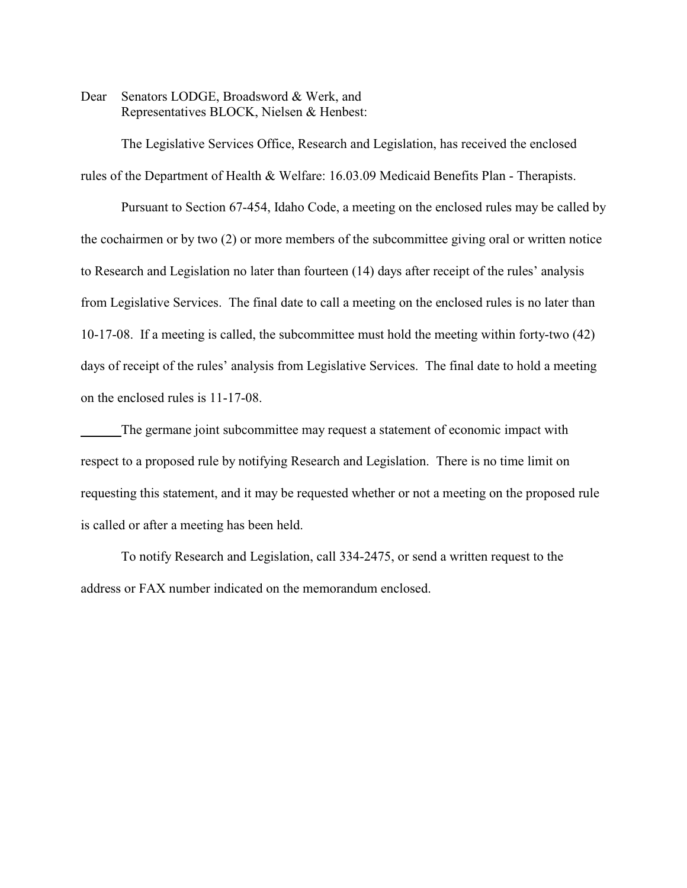Dear Senators LODGE, Broadsword & Werk, and Representatives BLOCK, Nielsen & Henbest:

The Legislative Services Office, Research and Legislation, has received the enclosed rules of the Department of Health & Welfare: 16.03.09 Medicaid Benefits Plan - Therapists.

Pursuant to Section 67-454, Idaho Code, a meeting on the enclosed rules may be called by the cochairmen or by two (2) or more members of the subcommittee giving oral or written notice to Research and Legislation no later than fourteen (14) days after receipt of the rules' analysis from Legislative Services. The final date to call a meeting on the enclosed rules is no later than 10-17-08. If a meeting is called, the subcommittee must hold the meeting within forty-two (42) days of receipt of the rules' analysis from Legislative Services. The final date to hold a meeting on the enclosed rules is 11-17-08.

The germane joint subcommittee may request a statement of economic impact with respect to a proposed rule by notifying Research and Legislation. There is no time limit on requesting this statement, and it may be requested whether or not a meeting on the proposed rule is called or after a meeting has been held.

To notify Research and Legislation, call 334-2475, or send a written request to the address or FAX number indicated on the memorandum enclosed.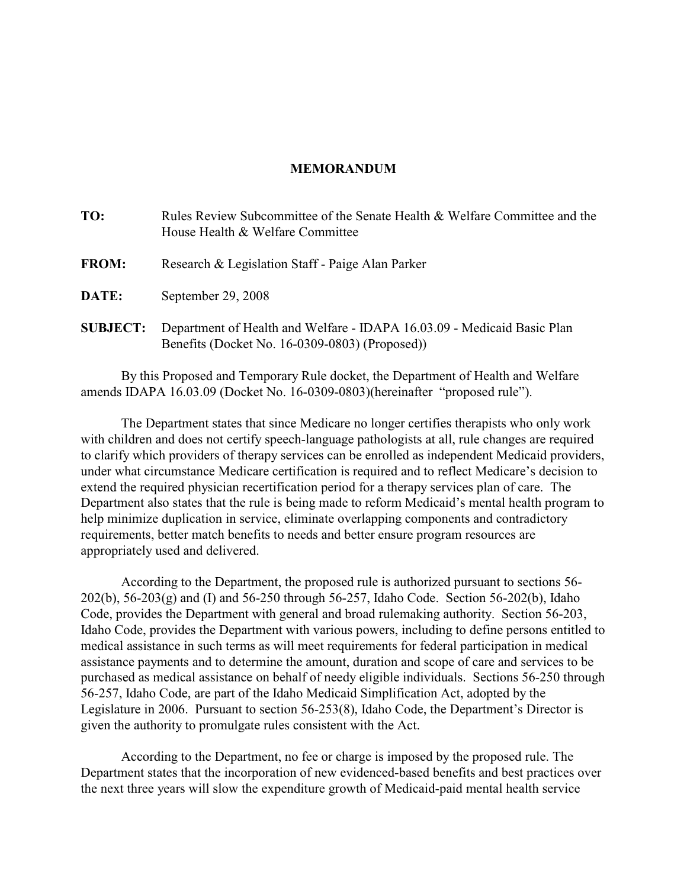# **MEMORANDUM**

| TO:             | Rules Review Subcommittee of the Senate Health & Welfare Committee and the<br>House Health & Welfare Committee            |
|-----------------|---------------------------------------------------------------------------------------------------------------------------|
| <b>FROM:</b>    | Research & Legislation Staff - Paige Alan Parker                                                                          |
| DATE:           | September 29, 2008                                                                                                        |
| <b>SUBJECT:</b> | Department of Health and Welfare - IDAPA 16.03.09 - Medicaid Basic Plan<br>Benefits (Docket No. 16-0309-0803) (Proposed)) |

By this Proposed and Temporary Rule docket, the Department of Health and Welfare amends IDAPA 16.03.09 (Docket No. 16-0309-0803)(hereinafter "proposed rule").

The Department states that since Medicare no longer certifies therapists who only work with children and does not certify speech-language pathologists at all, rule changes are required to clarify which providers of therapy services can be enrolled as independent Medicaid providers, under what circumstance Medicare certification is required and to reflect Medicare's decision to extend the required physician recertification period for a therapy services plan of care. The Department also states that the rule is being made to reform Medicaid's mental health program to help minimize duplication in service, eliminate overlapping components and contradictory requirements, better match benefits to needs and better ensure program resources are appropriately used and delivered.

According to the Department, the proposed rule is authorized pursuant to sections 56- 202(b), 56-203(g) and (I) and 56-250 through 56-257, Idaho Code. Section 56-202(b), Idaho Code, provides the Department with general and broad rulemaking authority. Section 56-203, Idaho Code, provides the Department with various powers, including to define persons entitled to medical assistance in such terms as will meet requirements for federal participation in medical assistance payments and to determine the amount, duration and scope of care and services to be purchased as medical assistance on behalf of needy eligible individuals. Sections 56-250 through 56-257, Idaho Code, are part of the Idaho Medicaid Simplification Act, adopted by the Legislature in 2006. Pursuant to section 56-253(8), Idaho Code, the Department's Director is given the authority to promulgate rules consistent with the Act.

According to the Department, no fee or charge is imposed by the proposed rule. The Department states that the incorporation of new evidenced-based benefits and best practices over the next three years will slow the expenditure growth of Medicaid-paid mental health service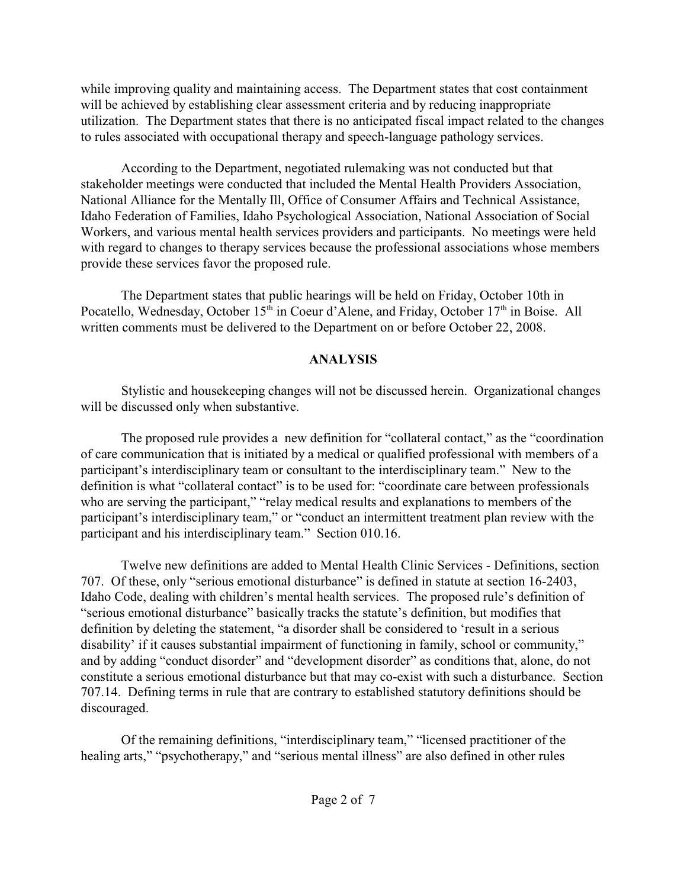while improving quality and maintaining access. The Department states that cost containment will be achieved by establishing clear assessment criteria and by reducing inappropriate utilization. The Department states that there is no anticipated fiscal impact related to the changes to rules associated with occupational therapy and speech-language pathology services.

According to the Department, negotiated rulemaking was not conducted but that stakeholder meetings were conducted that included the Mental Health Providers Association, National Alliance for the Mentally Ill, Office of Consumer Affairs and Technical Assistance, Idaho Federation of Families, Idaho Psychological Association, National Association of Social Workers, and various mental health services providers and participants. No meetings were held with regard to changes to therapy services because the professional associations whose members provide these services favor the proposed rule.

The Department states that public hearings will be held on Friday, October 10th in Pocatello, Wednesday, October  $15<sup>th</sup>$  in Coeur d'Alene, and Friday, October  $17<sup>th</sup>$  in Boise. All written comments must be delivered to the Department on or before October 22, 2008.

# **ANALYSIS**

Stylistic and housekeeping changes will not be discussed herein. Organizational changes will be discussed only when substantive.

The proposed rule provides a new definition for "collateral contact," as the "coordination of care communication that is initiated by a medical or qualified professional with members of a participant's interdisciplinary team or consultant to the interdisciplinary team." New to the definition is what "collateral contact" is to be used for: "coordinate care between professionals who are serving the participant," "relay medical results and explanations to members of the participant's interdisciplinary team," or "conduct an intermittent treatment plan review with the participant and his interdisciplinary team." Section 010.16.

Twelve new definitions are added to Mental Health Clinic Services - Definitions, section 707. Of these, only "serious emotional disturbance" is defined in statute at section 16-2403, Idaho Code, dealing with children's mental health services. The proposed rule's definition of "serious emotional disturbance" basically tracks the statute's definition, but modifies that definition by deleting the statement, "a disorder shall be considered to 'result in a serious disability' if it causes substantial impairment of functioning in family, school or community," and by adding "conduct disorder" and "development disorder" as conditions that, alone, do not constitute a serious emotional disturbance but that may co-exist with such a disturbance. Section 707.14. Defining terms in rule that are contrary to established statutory definitions should be discouraged.

Of the remaining definitions, "interdisciplinary team," "licensed practitioner of the healing arts," "psychotherapy," and "serious mental illness" are also defined in other rules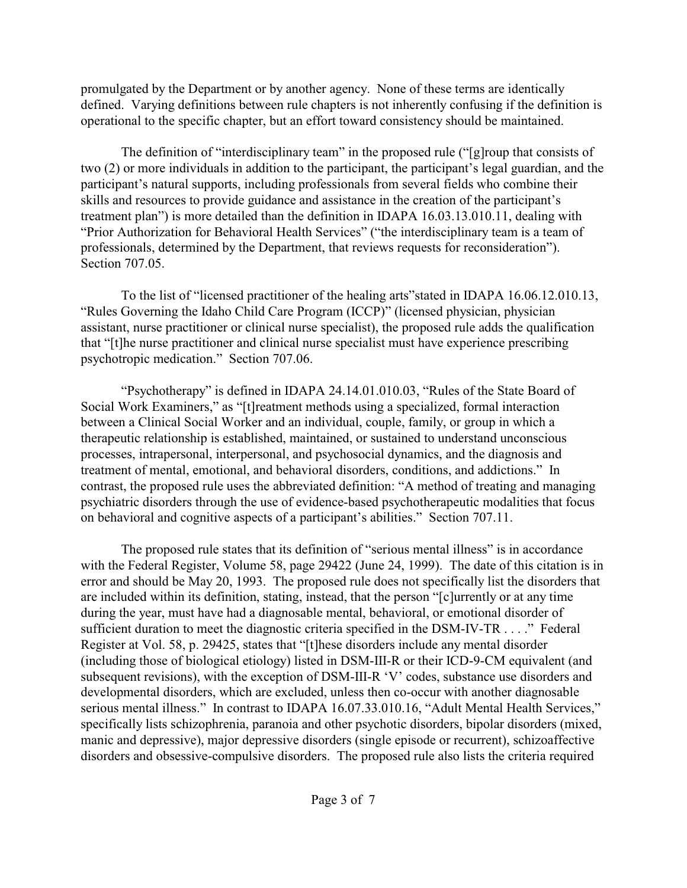promulgated by the Department or by another agency. None of these terms are identically defined. Varying definitions between rule chapters is not inherently confusing if the definition is operational to the specific chapter, but an effort toward consistency should be maintained.

The definition of "interdisciplinary team" in the proposed rule ("[g]roup that consists of two (2) or more individuals in addition to the participant, the participant's legal guardian, and the participant's natural supports, including professionals from several fields who combine their skills and resources to provide guidance and assistance in the creation of the participant's treatment plan") is more detailed than the definition in IDAPA 16.03.13.010.11, dealing with "Prior Authorization for Behavioral Health Services" ("the interdisciplinary team is a team of professionals, determined by the Department, that reviews requests for reconsideration"). Section 707.05.

To the list of "licensed practitioner of the healing arts"stated in IDAPA 16.06.12.010.13, "Rules Governing the Idaho Child Care Program (ICCP)" (licensed physician, physician assistant, nurse practitioner or clinical nurse specialist), the proposed rule adds the qualification that "[t]he nurse practitioner and clinical nurse specialist must have experience prescribing psychotropic medication." Section 707.06.

"Psychotherapy" is defined in IDAPA 24.14.01.010.03, "Rules of the State Board of Social Work Examiners," as "[t]reatment methods using a specialized, formal interaction between a Clinical Social Worker and an individual, couple, family, or group in which a therapeutic relationship is established, maintained, or sustained to understand unconscious processes, intrapersonal, interpersonal, and psychosocial dynamics, and the diagnosis and treatment of mental, emotional, and behavioral disorders, conditions, and addictions." In contrast, the proposed rule uses the abbreviated definition: "A method of treating and managing psychiatric disorders through the use of evidence-based psychotherapeutic modalities that focus on behavioral and cognitive aspects of a participant's abilities." Section 707.11.

The proposed rule states that its definition of "serious mental illness" is in accordance with the Federal Register, Volume 58, page 29422 (June 24, 1999). The date of this citation is in error and should be May 20, 1993. The proposed rule does not specifically list the disorders that are included within its definition, stating, instead, that the person "[c]urrently or at any time during the year, must have had a diagnosable mental, behavioral, or emotional disorder of sufficient duration to meet the diagnostic criteria specified in the DSM-IV-TR . . . ." Federal Register at Vol. 58, p. 29425, states that "[t]hese disorders include any mental disorder (including those of biological etiology) listed in DSM-III-R or their ICD-9-CM equivalent (and subsequent revisions), with the exception of DSM-III-R 'V' codes, substance use disorders and developmental disorders, which are excluded, unless then co-occur with another diagnosable serious mental illness." In contrast to IDAPA 16.07.33.010.16, "Adult Mental Health Services," specifically lists schizophrenia, paranoia and other psychotic disorders, bipolar disorders (mixed, manic and depressive), major depressive disorders (single episode or recurrent), schizoaffective disorders and obsessive-compulsive disorders. The proposed rule also lists the criteria required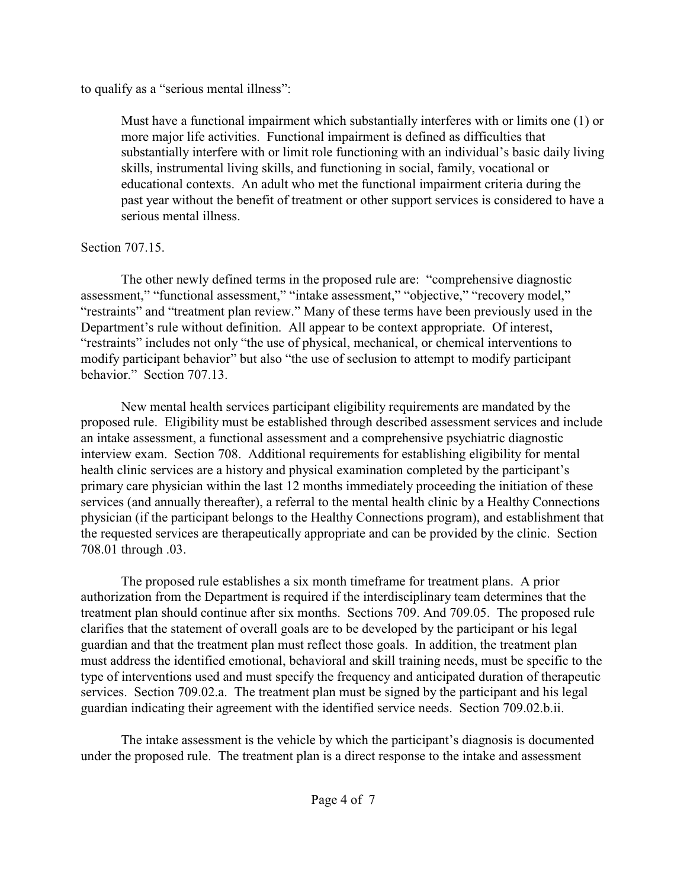to qualify as a "serious mental illness":

Must have a functional impairment which substantially interferes with or limits one (1) or more major life activities. Functional impairment is defined as difficulties that substantially interfere with or limit role functioning with an individual's basic daily living skills, instrumental living skills, and functioning in social, family, vocational or educational contexts. An adult who met the functional impairment criteria during the past year without the benefit of treatment or other support services is considered to have a serious mental illness.

# Section 707.15.

The other newly defined terms in the proposed rule are: "comprehensive diagnostic assessment," "functional assessment," "intake assessment," "objective," "recovery model," "restraints" and "treatment plan review." Many of these terms have been previously used in the Department's rule without definition. All appear to be context appropriate. Of interest, "restraints" includes not only "the use of physical, mechanical, or chemical interventions to modify participant behavior" but also "the use of seclusion to attempt to modify participant behavior." Section 707.13.

New mental health services participant eligibility requirements are mandated by the proposed rule. Eligibility must be established through described assessment services and include an intake assessment, a functional assessment and a comprehensive psychiatric diagnostic interview exam. Section 708. Additional requirements for establishing eligibility for mental health clinic services are a history and physical examination completed by the participant's primary care physician within the last 12 months immediately proceeding the initiation of these services (and annually thereafter), a referral to the mental health clinic by a Healthy Connections physician (if the participant belongs to the Healthy Connections program), and establishment that the requested services are therapeutically appropriate and can be provided by the clinic. Section 708.01 through .03.

The proposed rule establishes a six month timeframe for treatment plans. A prior authorization from the Department is required if the interdisciplinary team determines that the treatment plan should continue after six months. Sections 709. And 709.05. The proposed rule clarifies that the statement of overall goals are to be developed by the participant or his legal guardian and that the treatment plan must reflect those goals. In addition, the treatment plan must address the identified emotional, behavioral and skill training needs, must be specific to the type of interventions used and must specify the frequency and anticipated duration of therapeutic services. Section 709.02.a. The treatment plan must be signed by the participant and his legal guardian indicating their agreement with the identified service needs. Section 709.02.b.ii.

The intake assessment is the vehicle by which the participant's diagnosis is documented under the proposed rule. The treatment plan is a direct response to the intake and assessment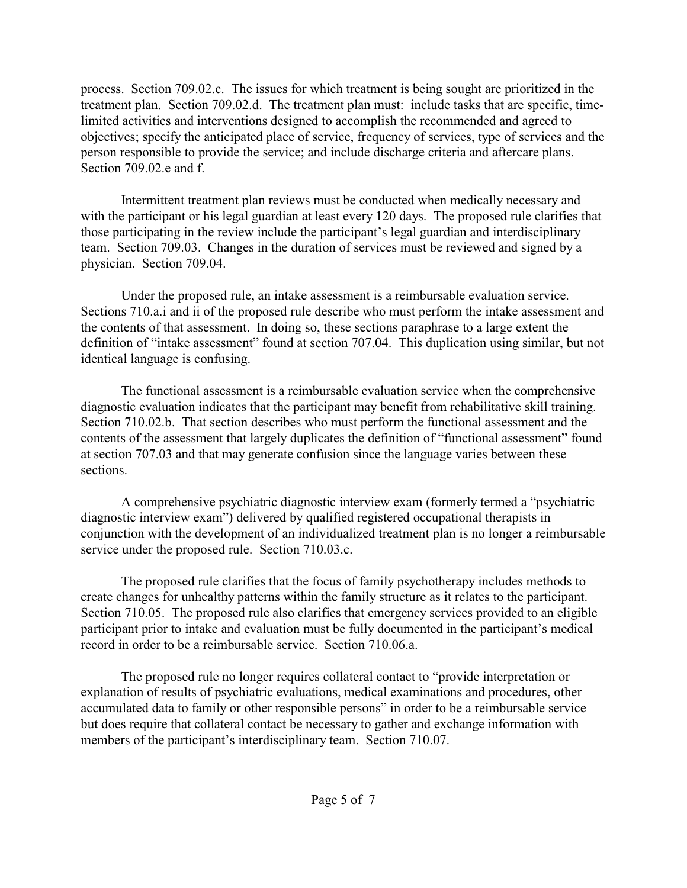process. Section 709.02.c. The issues for which treatment is being sought are prioritized in the treatment plan. Section 709.02.d. The treatment plan must: include tasks that are specific, timelimited activities and interventions designed to accomplish the recommended and agreed to objectives; specify the anticipated place of service, frequency of services, type of services and the person responsible to provide the service; and include discharge criteria and aftercare plans. Section 709.02.e and f.

Intermittent treatment plan reviews must be conducted when medically necessary and with the participant or his legal guardian at least every 120 days. The proposed rule clarifies that those participating in the review include the participant's legal guardian and interdisciplinary team. Section 709.03. Changes in the duration of services must be reviewed and signed by a physician. Section 709.04.

Under the proposed rule, an intake assessment is a reimbursable evaluation service. Sections 710.a.i and ii of the proposed rule describe who must perform the intake assessment and the contents of that assessment. In doing so, these sections paraphrase to a large extent the definition of "intake assessment" found at section 707.04. This duplication using similar, but not identical language is confusing.

The functional assessment is a reimbursable evaluation service when the comprehensive diagnostic evaluation indicates that the participant may benefit from rehabilitative skill training. Section 710.02.b. That section describes who must perform the functional assessment and the contents of the assessment that largely duplicates the definition of "functional assessment" found at section 707.03 and that may generate confusion since the language varies between these sections.

A comprehensive psychiatric diagnostic interview exam (formerly termed a "psychiatric diagnostic interview exam") delivered by qualified registered occupational therapists in conjunction with the development of an individualized treatment plan is no longer a reimbursable service under the proposed rule. Section 710.03.c.

The proposed rule clarifies that the focus of family psychotherapy includes methods to create changes for unhealthy patterns within the family structure as it relates to the participant. Section 710.05. The proposed rule also clarifies that emergency services provided to an eligible participant prior to intake and evaluation must be fully documented in the participant's medical record in order to be a reimbursable service. Section 710.06.a.

The proposed rule no longer requires collateral contact to "provide interpretation or explanation of results of psychiatric evaluations, medical examinations and procedures, other accumulated data to family or other responsible persons" in order to be a reimbursable service but does require that collateral contact be necessary to gather and exchange information with members of the participant's interdisciplinary team. Section 710.07.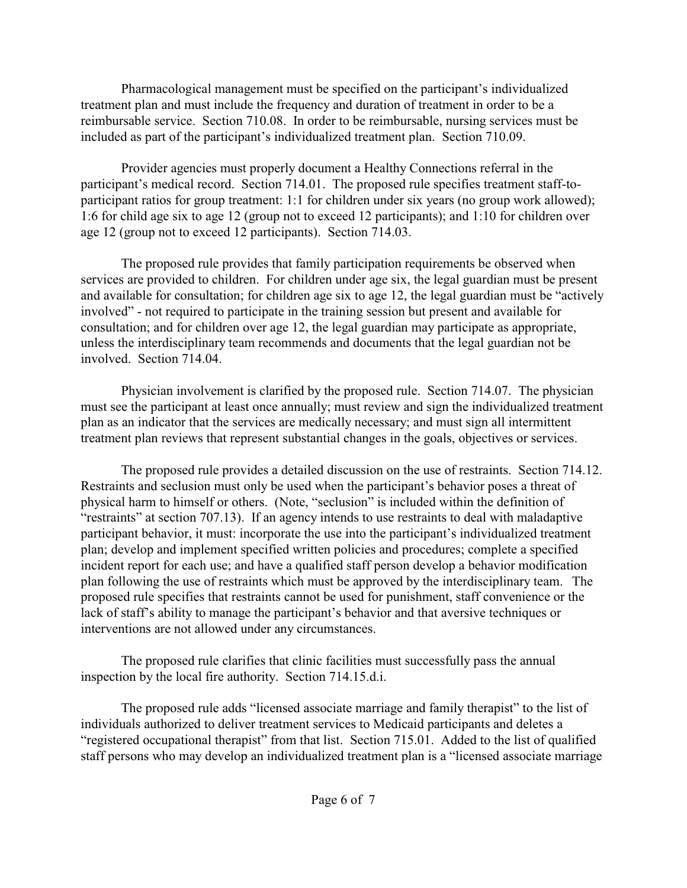Pharmacological management must be specified on the participant's individualized treatment plan and must include the frequency and duration of treatment in order to be a reimbursable service. Section 710.08. In order to be reimbursable, nursing services must be included as part of the participant's individualized treatment plan. Section 710.09.

Provider agencies must properly document a Healthy Connections referral in the participant's medical record. Section 714.01. The proposed rule specifies treatment staff-toparticipant ratios for group treatment: 1:1 for children under six years (no group work allowed); 1:6 for child age six to age 12 (group not to exceed 12 participants); and 1:10 for children over age 12 (group not to exceed 12 participants). Section 714.03.

The proposed rule provides that family participation requirements be observed when services are provided to children. For children under age six, the legal guardian must be present and available for consultation; for children age six to age 12, the legal guardian must be "actively involved" - not required to participate in the training session but present and available for consultation; and for children over age 12, the legal guardian may participate as appropriate, unless the interdisciplinary team recommends and documents that the legal guardian not be involved. Section 714.04.

Physician involvement is clarified by the proposed rule. Section 714.07. The physician must see the participant at least once annually; must review and sign the individualized treatment plan as an indicator that the services are medically necessary; and must sign all intermittent treatment plan reviews that represent substantial changes in the goals, objectives or services.

The proposed rule provides a detailed discussion on the use of restraints. Section 714.12. Restraints and seclusion must only be used when the participant's behavior poses a threat of physical harm to himself or others. (Note, "seclusion" is included within the definition of "restraints" at section 707.13). If an agency intends to use restraints to deal with maladaptive participant behavior, it must: incorporate the use into the participant's individualized treatment plan; develop and implement specified written policies and procedures; complete a specified incident report for each use; and have a qualified staff person develop a behavior modification plan following the use of restraints which must be approved by the interdisciplinary team. The proposed rule specifies that restraints cannot be used for punishment, staff convenience or the lack of staff's ability to manage the participant's behavior and that aversive techniques or interventions are not allowed under any circumstances.

The proposed rule clarifies that clinic facilities must successfully pass the annual inspection by the local fire authority. Section 714.15.d.i.

The proposed rule adds "licensed associate marriage and family therapist" to the list of individuals authorized to deliver treatment services to Medicaid participants and deletes a "registered occupational therapist" from that list. Section 715.01. Added to the list of qualified staff persons who may develop an individualized treatment plan is a "licensed associate marriage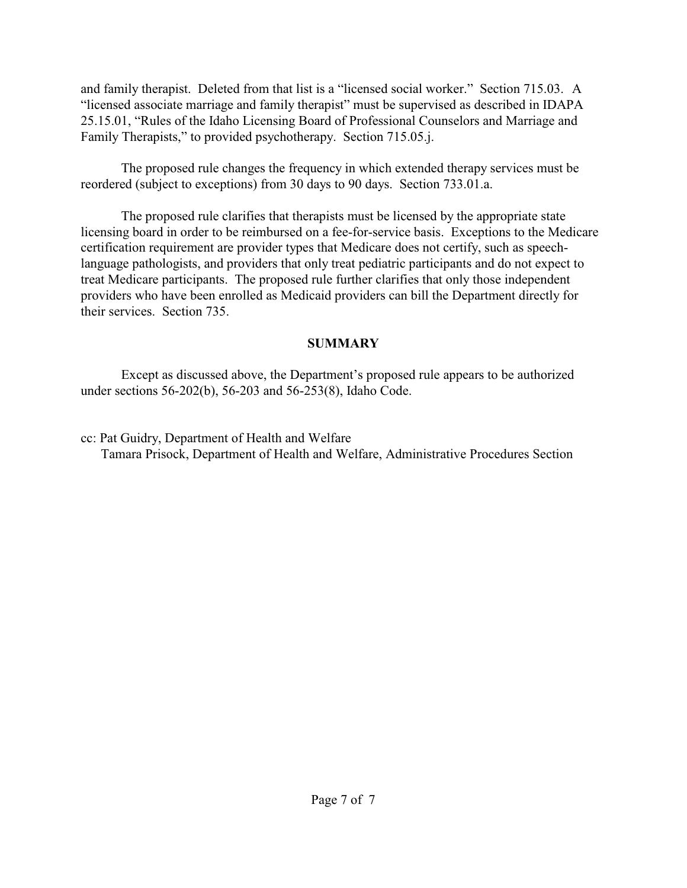and family therapist. Deleted from that list is a "licensed social worker." Section 715.03. A "licensed associate marriage and family therapist" must be supervised as described in IDAPA 25.15.01, "Rules of the Idaho Licensing Board of Professional Counselors and Marriage and Family Therapists," to provided psychotherapy. Section 715.05.j.

The proposed rule changes the frequency in which extended therapy services must be reordered (subject to exceptions) from 30 days to 90 days. Section 733.01.a.

The proposed rule clarifies that therapists must be licensed by the appropriate state licensing board in order to be reimbursed on a fee-for-service basis. Exceptions to the Medicare certification requirement are provider types that Medicare does not certify, such as speechlanguage pathologists, and providers that only treat pediatric participants and do not expect to treat Medicare participants. The proposed rule further clarifies that only those independent providers who have been enrolled as Medicaid providers can bill the Department directly for their services. Section 735.

# **SUMMARY**

Except as discussed above, the Department's proposed rule appears to be authorized under sections 56-202(b), 56-203 and 56-253(8), Idaho Code.

cc: Pat Guidry, Department of Health and Welfare Tamara Prisock, Department of Health and Welfare, Administrative Procedures Section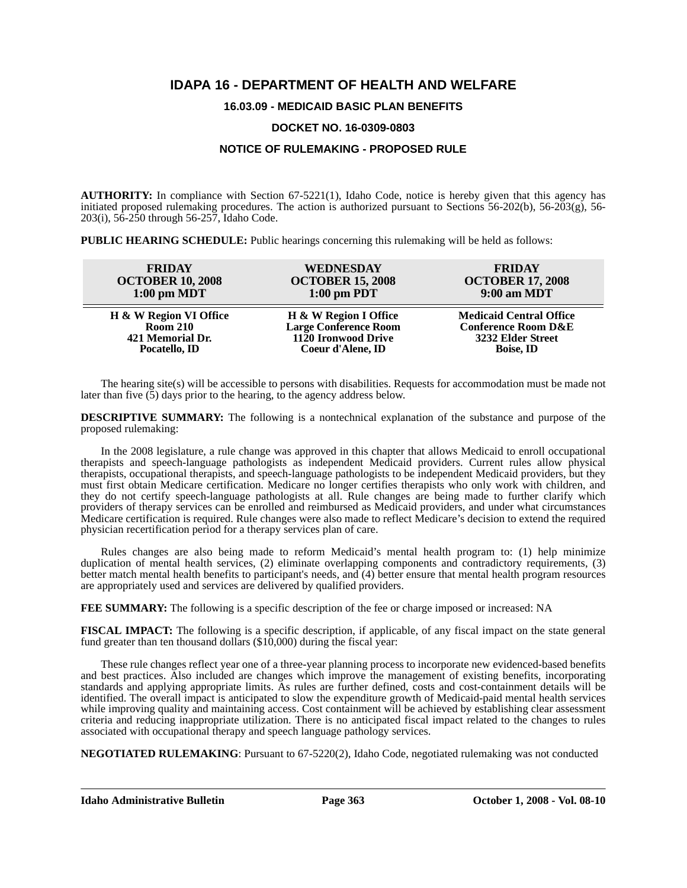# **IDAPA 16 - DEPARTMENT OF HEALTH AND WELFARE**

# **16.03.09 - MEDICAID BASIC PLAN BENEFITS**

#### **DOCKET NO. 16-0309-0803**

# **NOTICE OF RULEMAKING - PROPOSED RULE**

**AUTHORITY:** In compliance with Section 67-5221(1), Idaho Code, notice is hereby given that this agency has initiated proposed rulemaking procedures. The action is authorized pursuant to Sections 56-202(b), 56-203(g), 56- 203(i), 56-250 through 56-257, Idaho Code.

**PUBLIC HEARING SCHEDULE:** Public hearings concerning this rulemaking will be held as follows:

| <b>FRIDAY</b>           | WEDNESDAY                    | <b>FRIDAY</b>                  |
|-------------------------|------------------------------|--------------------------------|
| <b>OCTOBER 10, 2008</b> | <b>OCTOBER 15, 2008</b>      | <b>OCTOBER 17, 2008</b>        |
| $1:00$ pm MDT           | $1:00$ pm PDT                | 9:00 am MDT                    |
| H & W Region VI Office  | H & W Region I Office        | <b>Medicaid Central Office</b> |
| <b>Room 210</b>         | <b>Large Conference Room</b> | <b>Conference Room D&amp;E</b> |
| 421 Memorial Dr.        | 1120 Ironwood Drive          | 3232 Elder Street              |
| Pocatello, ID           | Coeur d'Alene, ID            | <b>Boise, ID</b>               |

The hearing site(s) will be accessible to persons with disabilities. Requests for accommodation must be made not later than five (5) days prior to the hearing, to the agency address below.

**DESCRIPTIVE SUMMARY:** The following is a nontechnical explanation of the substance and purpose of the proposed rulemaking:

In the 2008 legislature, a rule change was approved in this chapter that allows Medicaid to enroll occupational therapists and speech-language pathologists as independent Medicaid providers. Current rules allow physical therapists, occupational therapists, and speech-language pathologists to be independent Medicaid providers, but they must first obtain Medicare certification. Medicare no longer certifies therapists who only work with children, and they do not certify speech-language pathologists at all. Rule changes are being made to further clarify which providers of therapy services can be enrolled and reimbursed as Medicaid providers, and under what circumstances Medicare certification is required. Rule changes were also made to reflect Medicare's decision to extend the required physician recertification period for a therapy services plan of care.

Rules changes are also being made to reform Medicaid's mental health program to: (1) help minimize duplication of mental health services, (2) eliminate overlapping components and contradictory requirements, (3) better match mental health benefits to participant's needs, and (4) better ensure that mental health program resources are appropriately used and services are delivered by qualified providers.

**FEE SUMMARY:** The following is a specific description of the fee or charge imposed or increased: NA

**FISCAL IMPACT:** The following is a specific description, if applicable, of any fiscal impact on the state general fund greater than ten thousand dollars (\$10,000) during the fiscal year:

These rule changes reflect year one of a three-year planning process to incorporate new evidenced-based benefits and best practices. Also included are changes which improve the management of existing benefits, incorporating standards and applying appropriate limits. As rules are further defined, costs and cost-containment details will be identified. The overall impact is anticipated to slow the expenditure growth of Medicaid-paid mental health services while improving quality and maintaining access. Cost containment will be achieved by establishing clear assessment criteria and reducing inappropriate utilization. There is no anticipated fiscal impact related to the changes to rules associated with occupational therapy and speech language pathology services.

**NEGOTIATED RULEMAKING**: Pursuant to 67-5220(2), Idaho Code, negotiated rulemaking was not conducted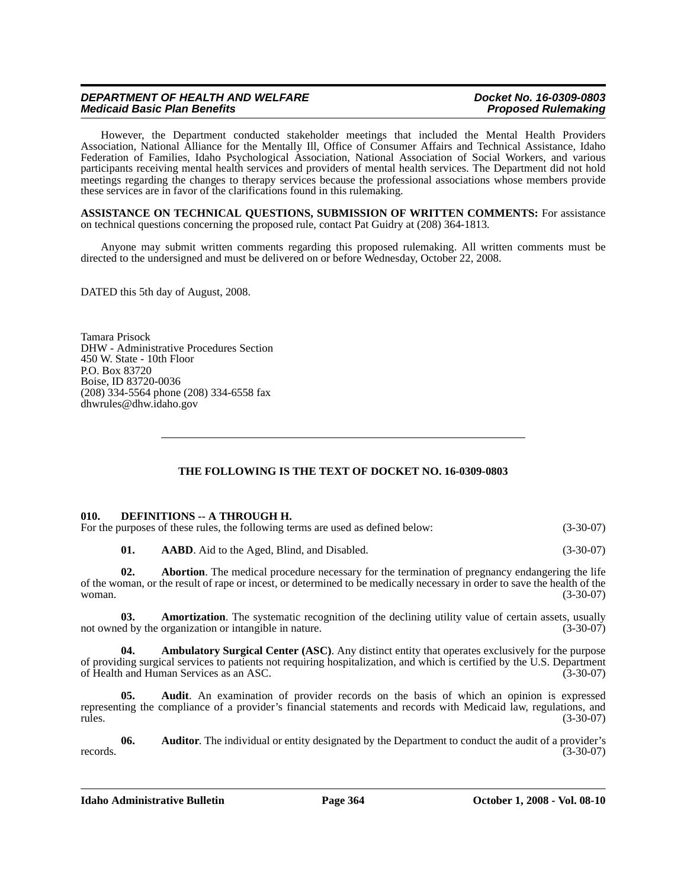However, the Department conducted stakeholder meetings that included the Mental Health Providers Association, National Alliance for the Mentally Ill, Office of Consumer Affairs and Technical Assistance, Idaho Federation of Families, Idaho Psychological Association, National Association of Social Workers, and various participants receiving mental health services and providers of mental health services. The Department did not hold meetings regarding the changes to therapy services because the professional associations whose members provide these services are in favor of the clarifications found in this rulemaking.

**ASSISTANCE ON TECHNICAL QUESTIONS, SUBMISSION OF WRITTEN COMMENTS:** For assistance on technical questions concerning the proposed rule, contact Pat Guidry at (208) 364-1813*.*

Anyone may submit written comments regarding this proposed rulemaking. All written comments must be directed to the undersigned and must be delivered on or before Wednesday, October 22, 2008.

DATED this 5th day of August, 2008.

Tamara Prisock DHW - Administrative Procedures Section 450 W. State - 10th Floor P.O. Box 83720 Boise, ID 83720-0036 (208) 334-5564 phone (208) 334-6558 fax <dhwrules@dhw.idaho.gov>

# **THE FOLLOWING IS THE TEXT OF DOCKET NO. 16-0309-0803**

#### **010. DEFINITIONS -- A THROUGH H.**

| For the purposes of these rules, the following terms are used as defined below: | $(3-30-07)$ |
|---------------------------------------------------------------------------------|-------------|
|---------------------------------------------------------------------------------|-------------|

**01. AABD**. Aid to the Aged, Blind, and Disabled. (3-30-07)

**02. Abortion**. The medical procedure necessary for the termination of pregnancy endangering the life of the woman, or the result of rape or incest, or determined to be medically necessary in order to save the health of the woman. (3-30-07)

**03. Amortization**. The systematic recognition of the declining utility value of certain assets, usually ed by the organization or intangible in nature. (3-30-07) not owned by the organization or intangible in nature.

**04. Ambulatory Surgical Center (ASC)**. Any distinct entity that operates exclusively for the purpose of providing surgical services to patients not requiring hospitalization, and which is certified by the U.S. Department of Health and Human Services as an ASC.

**05. Audit**. An examination of provider records on the basis of which an opinion is expressed representing the compliance of a provider's financial statements and records with Medicaid law, regulations, and rules. (3-30-07) rules. (3-30-07)

**06.** Auditor. The individual or entity designated by the Department to conduct the audit of a provider's (3-30-07) records.  $(3-30-07)$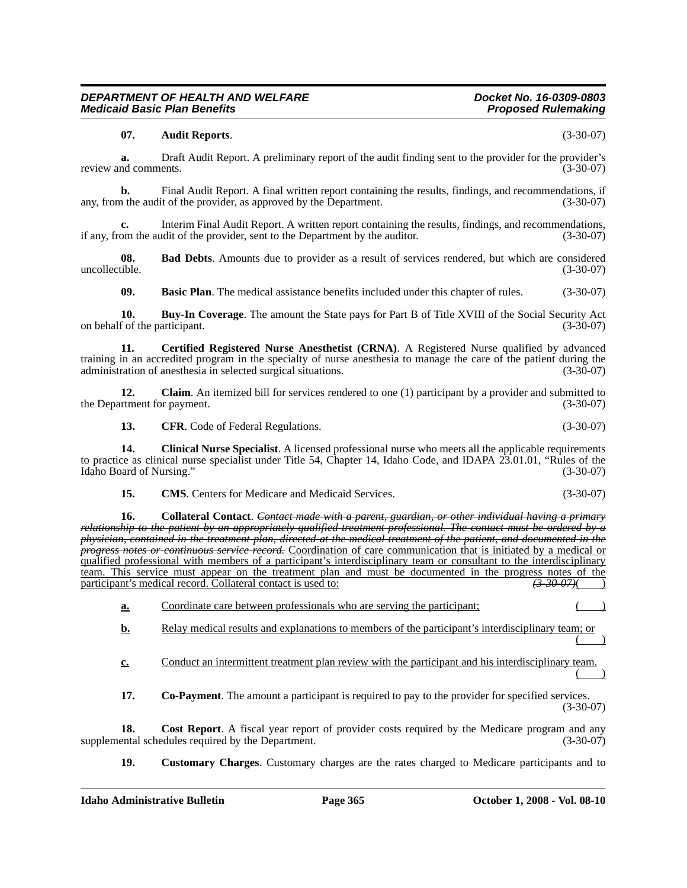### **07. Audit Reports**. (3-30-07)

**a.** Draft Audit Report. A preliminary report of the audit finding sent to the provider for the provider's review and comments. (3-30-07)

**b.** Final Audit Report. A final written report containing the results, findings, and recommendations, if the audit of the provider, as approved by the Department. (3-30-07) any, from the audit of the provider, as approved by the Department.

**c.** Interim Final Audit Report. A written report containing the results, findings, and recommendations, if any, from the audit of the provider, sent to the Department by the auditor. (3-30-07)

**08.** Bad Debts. Amounts due to provider as a result of services rendered, but which are considered uncollectible. (3-30-07) uncollectible. (3-30-07)

**09. Basic Plan**. The medical assistance benefits included under this chapter of rules. (3-30-07)

**10. Buy-In Coverage**. The amount the State pays for Part B of Title XVIII of the Social Security Act f of the participant. (3-30-07) on behalf of the participant.

**11. Certified Registered Nurse Anesthetist (CRNA)**. A Registered Nurse qualified by advanced training in an accredited program in the specialty of nurse anesthesia to manage the care of the patient during the administration of anesthesia in selected surgical situations. (3-30-07) administration of anesthesia in selected surgical situations.

**12. Claim**. An itemized bill for services rendered to one (1) participant by a provider and submitted to the Department for payment. (3-30-07)

**13. CFR**. Code of Federal Regulations. (3-30-07)

**14. Clinical Nurse Specialist**. A licensed professional nurse who meets all the applicable requirements to practice as clinical nurse specialist under Title 54, Chapter 14, Idaho Code, and IDAPA 23.01.01, "Rules of the Idaho Board of Nursing." (3-30-07) Idaho Board of Nursing."

| 15. | <b>CMS.</b> Centers for Medicare and Medicaid Services. | $(3-30-07)$ |
|-----|---------------------------------------------------------|-------------|
|-----|---------------------------------------------------------|-------------|

**16. Collateral Contact**. *Contact made with a parent, guardian, or other individual having a primary relationship to the patient by an appropriately qualified treatment professional. The contact must be ordered by a physician, contained in the treatment plan, directed at the medical treatment of the patient, and documented in the progress notes or continuous service record.* Coordination of care communication that is initiated by a medical or qualified professional with members of a participant's interdisciplinary team or consultant to the interdisciplinary team. This service must appear on the treatment plan and must be documented in the progress notes of the participant's medical record. Collateral contact is used to: *(3-30-07)*( *(3-30-07)*(

**a.** Coordinate care between professionals who are serving the participant;

**b.** Relay medical results and explanations to members of the participant's interdisciplinary team; or  $($  )

**c.** Conduct an intermittent treatment plan review with the participant and his interdisciplinary team.

 $($  )

**17. Co-Payment**. The amount a participant is required to pay to the provider for specified services. (3-30-07)

**18.** Cost Report. A fiscal year report of provider costs required by the Medicare program and any ental schedules required by the Department. (3-30-07) supplemental schedules required by the Department.

**19. Customary Charges**. Customary charges are the rates charged to Medicare participants and to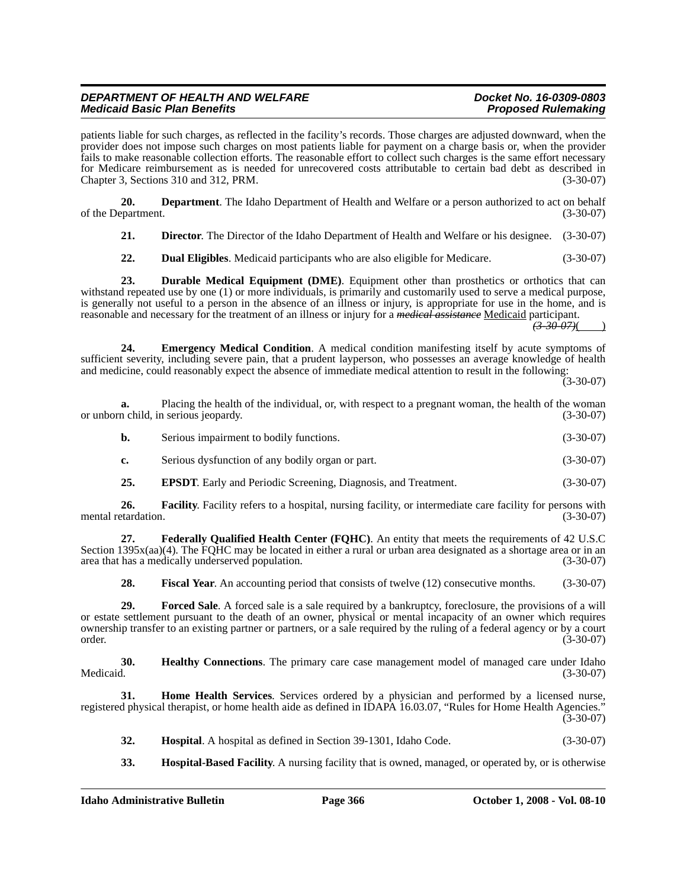patients liable for such charges, as reflected in the facility's records. Those charges are adjusted downward, when the provider does not impose such charges on most patients liable for payment on a charge basis or, when the provider fails to make reasonable collection efforts. The reasonable effort to collect such charges is the same effort necessary for Medicare reimbursement as is needed for unrecovered costs attributable to certain bad debt as described in Chapter 3, Sections 310 and 312, PRM. (3-30-07)

**20. Department**. The Idaho Department of Health and Welfare or a person authorized to act on behalf of the Department.

**21. Director**. The Director of the Idaho Department of Health and Welfare or his designee. (3-30-07)

**22. Dual Eligibles**. Medicaid participants who are also eligible for Medicare. (3-30-07)

**23. Durable Medical Equipment (DME)**. Equipment other than prosthetics or orthotics that can withstand repeated use by one (1) or more individuals, is primarily and customarily used to serve a medical purpose, is generally not useful to a person in the absence of an illness or injury, is appropriate for use in the home, and is reasonable and necessary for the treatment of an illness or injury for a *medical assistance* Medicaid participant.

*(3-30-07)*( )

**24. Emergency Medical Condition**. A medical condition manifesting itself by acute symptoms of sufficient severity, including severe pain, that a prudent layperson, who possesses an average knowledge of health and medicine, could reasonably expect the absence of immediate medical attention to result in the following:

 $(3 - 30 - 07)$ 

**a.** Placing the health of the individual, or, with respect to a pregnant woman, the health of the woman n child, in serious ieopardy. (3-30-07) or unborn child, in serious jeopardy.

| b. | Serious impairment to bodily functions. | $(3-30-07)$ |
|----|-----------------------------------------|-------------|
|    |                                         |             |

**c.** Serious dysfunction of any bodily organ or part. (3-30-07)

**25. EPSDT**. Early and Periodic Screening, Diagnosis, and Treatment. (3-30-07)

**26. Facility**. Facility refers to a hospital, nursing facility, or intermediate care facility for persons with etardation. (3-30-07) mental retardation.

**27. Federally Qualified Health Center (FQHC)**. An entity that meets the requirements of 42 U.S.C Section 1395x(aa)(4). The FQHC may be located in either a rural or urban area designated as a shortage area or in an area that has a medically underserved population. (3-30-07)

**28. Fiscal Year**. An accounting period that consists of twelve (12) consecutive months. (3-30-07)

**29. Forced Sale**. A forced sale is a sale required by a bankruptcy, foreclosure, the provisions of a will or estate settlement pursuant to the death of an owner, physical or mental incapacity of an owner which requires ownership transfer to an existing partner or partners, or a sale required by the ruling of a federal agency or by a court order. (3-30-07)

**30. Healthy Connections**. The primary care case management model of managed care under Idaho<br>(3-30-07) Medicaid. (3-30-07)

**31. Home Health Services**. Services ordered by a physician and performed by a licensed nurse, registered physical therapist, or home health aide as defined in IDAPA 16.03.07, "Rules for Home Health Agencies." (3-30-07)

- **32. Hospital**. A hospital as defined in Section 39-1301, Idaho Code. (3-30-07)
- **33. Hospital-Based Facility**. A nursing facility that is owned, managed, or operated by, or is otherwise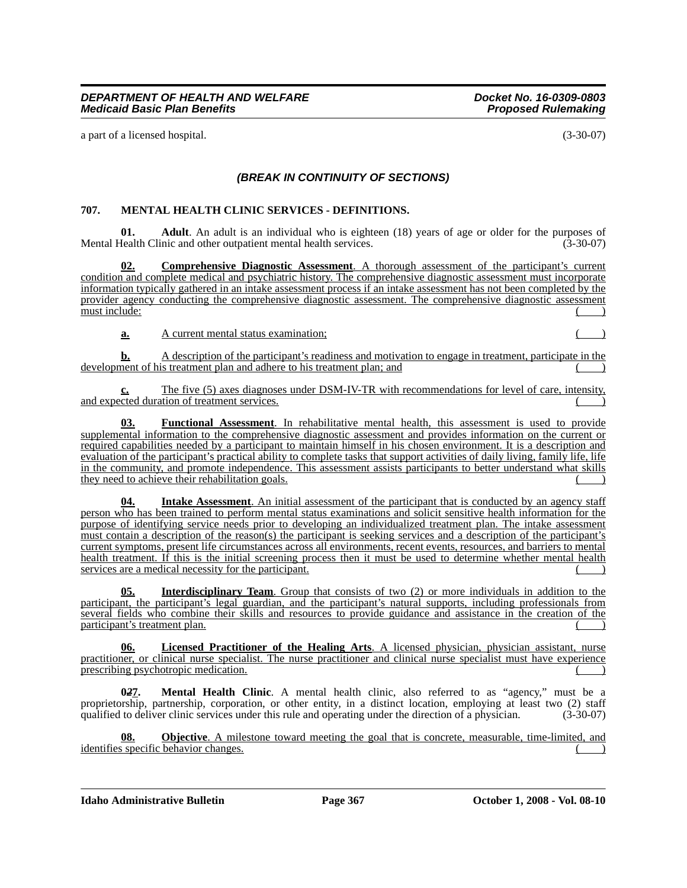a part of a licensed hospital. (3-30-07)

# *(BREAK IN CONTINUITY OF SECTIONS)*

# **707. MENTAL HEALTH CLINIC SERVICES - DEFINITIONS.**

**01. Adult**. An adult is an individual who is eighteen (18) years of age or older for the purposes of lealth Clinic and other outpatient mental health services. (3-30-07) Mental Health Clinic and other outpatient mental health services.

**02. Comprehensive Diagnostic Assessment**. A thorough assessment of the participant's current condition and complete medical and psychiatric history. The comprehensive diagnostic assessment must incorporate information typically gathered in an intake assessment process if an intake assessment has not been completed by the provider agency conducting the comprehensive diagnostic assessment. The comprehensive diagnostic assessment must include:

**a.** A current mental status examination;

**b.** A description of the participant's readiness and motivation to engage in treatment, participate in the development of his treatment plan and adhere to his treatment plan; and

**c.** The five (5) axes diagnoses under DSM-IV-TR with recommendations for level of care, intensity, and expected duration of treatment services.

**03. Functional Assessment**. In rehabilitative mental health, this assessment is used to provide supplemental information to the comprehensive diagnostic assessment and provides information on the current or required capabilities needed by a participant to maintain himself in his chosen environment. It is a description and evaluation of the participant's practical ability to complete tasks that support activities of daily living, family life, life in the community, and promote independence. This assessment assists participants to better understand what skills they need to achieve their rehabilitation goals.

**Intake Assessment**. An initial assessment of the participant that is conducted by an agency staff person who has been trained to perform mental status examinations and solicit sensitive health information for the purpose of identifying service needs prior to developing an individualized treatment plan. The intake assessment must contain a description of the reason(s) the participant is seeking services and a description of the participant's current symptoms, present life circumstances across all environments, recent events, resources, and barriers to mental health treatment. If this is the initial screening process then it must be used to determine whether mental health services are a medical necessity for the participant.

**05. Interdisciplinary Team**. Group that consists of two (2) or more individuals in addition to the participant, the participant's legal guardian, and the participant's natural supports, including professionals from several fields who combine their skills and resources to provide guidance and assistance in the creation of the participant's treatment plan.

**06. Licensed Practitioner of the Healing Arts**. A licensed physician, physician assistant, nurse practitioner, or clinical nurse specialist. The nurse practitioner and clinical nurse specialist must have experience prescribing psychotropic medication.

**0***2***7. Mental Health Clinic**. A mental health clinic, also referred to as "agency," must be a proprietorship, partnership, corporation, or other entity, in a distinct location, employing at least two (2) staff qualified to deliver clinic services under this rule and operating under the direction of a physician. (3qualified to deliver clinic services under this rule and operating under the direction of a physician. (3-30-07)

**08. Objective**. A milestone toward meeting the goal that is concrete, measurable, time-limited, and identifies specific behavior changes.

**Idaho Administrative Bulletin Page 367 October 1, 2008 - Vol. 08-10**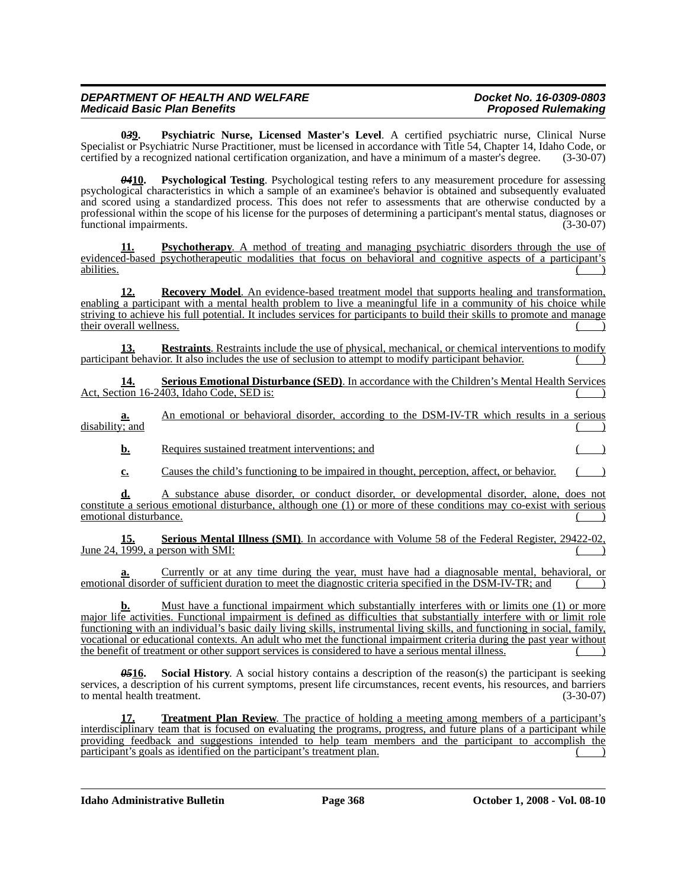**0***3***9. Psychiatric Nurse, Licensed Master's Level**. A certified psychiatric nurse, Clinical Nurse Specialist or Psychiatric Nurse Practitioner, must be licensed in accordance with Title 54, Chapter 14, Idaho Code, or certified by a recognized national certification organization, and have a minimum of a master's degree. certified by a recognized national certification organization, and have a minimum of a master's degree.

*04***10. Psychological Testing**. Psychological testing refers to any measurement procedure for assessing psychological characteristics in which a sample of an examinee's behavior is obtained and subsequently evaluated and scored using a standardized process. This does not refer to assessments that are otherwise conducted by a professional within the scope of his license for the purposes of determining a participant's mental status, diagnoses or functional impairments. (3-30-07)

**11. Psychotherapy**. A method of treating and managing psychiatric disorders through the use of evidenced-based psychotherapeutic modalities that focus on behavioral and cognitive aspects of a participant's abilities. abilities. ( )

**12. Recovery Model**. An evidence-based treatment model that supports healing and transformation, enabling a participant with a mental health problem to live a meaningful life in a community of his choice while striving to achieve his full potential. It includes services for participants to build their skills to promote and manage their overall wellness.

**13. Restraints**. Restraints include the use of physical, mechanical, or chemical interventions to modify participant behavior. It also includes the use of seclusion to attempt to modify participant behavior.

**14. Serious Emotional Disturbance (SED)**. In accordance with the Children's Mental Health Services Act, Section 16-2403, Idaho Code, SED is:

**a.** An emotional or behavioral disorder, according to the DSM-IV-TR which results in a serious disability; and

**b.** Requires sustained treatment interventions; and

**c.** Causes the child's functioning to be impaired in thought, perception, affect, or behavior.

**d.** A substance abuse disorder, or conduct disorder, or developmental disorder, alone, does not constitute a serious emotional disturbance, although one (1) or more of these conditions may co-exist with serious emotional disturbance.

**15. Serious Mental Illness (SMI)**. In accordance with Volume 58 of the Federal Register, 29422-02, June 24,  $\overline{1999}$ , a person with SMI:

Currently or at any time during the year, must have had a diagnosable mental, behavioral, or emotional disorder of sufficient duration to meet the diagnostic criteria specified in the DSM-IV-TR; and

**b.** Must have a functional impairment which substantially interferes with or limits one (1) or more major life activities. Functional impairment is defined as difficulties that substantially interfere with or limit role functioning with an individual's basic daily living skills, instrumental living skills, and functioning in social, family, vocational or educational contexts. An adult who met the functional impairment criteria during the past year without the benefit of treatment or other support services is considered to have a serious mental illness. ( )

**05<sup>16</sup>.** Social History. A social history contains a description of the reason(s) the participant is seeking services, a description of his current symptoms, present life circumstances, recent events, his resources, and barriers to mental health treatment. (3-30-07)

**17. Treatment Plan Review**. The practice of holding a meeting among members of a participant's interdisciplinary team that is focused on evaluating the programs, progress, and future plans of a participant while providing feedback and suggestions intended to help team members and the participant to accomplish the participant's goals as identified on the participant's treatment plan.

**Idaho Administrative Bulletin Page 368 October 1, 2008 - Vol. 08-10**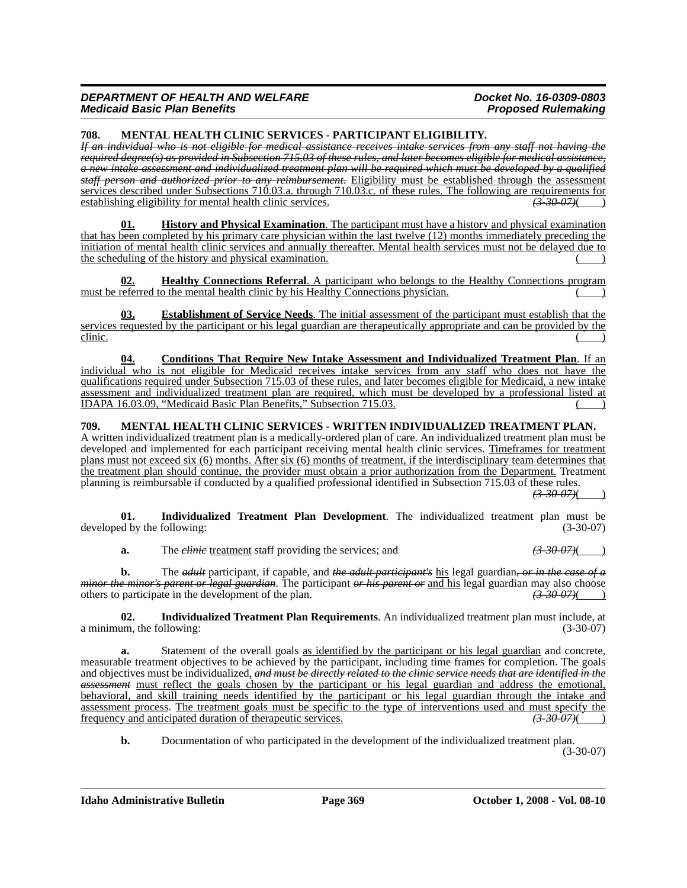**708. MENTAL HEALTH CLINIC SERVICES - PARTICIPANT ELIGIBILITY.**

*If an individual who is not eligible for medical assistance receives intake services from any staff not having the required degree(s) as provided in Subsection 715.03 of these rules, and later becomes eligible for medical assistance, a new intake assessment and individualized treatment plan will be required which must be developed by a qualified staff person and authorized prior to any reimbursement.* Eligibility must be established through the assessment services described under Subsections 710.03.a. through 710.03.c. of these rules. The following are requirements for establishing eligibility for mental health clinic services.  $\left(3\frac{30}{9}\right)$ establishing eligibility for mental health clinic services.

**History and Physical Examination**. The participant must have a history and physical examination that has been completed by his primary care physician within the last twelve (12) months immediately preceding the initiation of mental health clinic services and annually thereafter. Mental health services must not be delayed due to the scheduling of the history and physical examination.

**02. Healthy Connections Referral**. A participant who belongs to the Healthy Connections program must be referred to the mental health clinic by his Healthy Connections physician.

**03. Establishment of Service Needs**. The initial assessment of the participant must establish that the services requested by the participant or his legal guardian are therapeutically appropriate and can be provided by the  $\frac{\text{clinic.}}{\text{clinic.}}$ 

**04. Conditions That Require New Intake Assessment and Individualized Treatment Plan**. If an individual who is not eligible for Medicaid receives intake services from any staff who does not have the qualifications required under Subsection 715.03 of these rules, and later becomes eligible for Medicaid, a new intake assessment and individualized treatment plan are required, which must be developed by a professional listed at IDAPA 16.03.09, "Medicaid Basic Plan Benefits," Subsection 715.03.

# **709. MENTAL HEALTH CLINIC SERVICES - WRITTEN INDIVIDUALIZED TREATMENT PLAN.**

A written individualized treatment plan is a medically-ordered plan of care. An individualized treatment plan must be developed and implemented for each participant receiving mental health clinic services. Timeframes for treatment plans must not exceed six (6) months. After six (6) months of treatment, if the interdisciplinary team determines that the treatment plan should continue, the provider must obtain a prior authorization from the Department. Treatment planning is reimbursable if conducted by a qualified professional identified in Subsection 715.03 of these rules.

 $(3 - 30 - 07)$ 

**01. Individualized Treatment Plan Development**. The individualized treatment plan must be developed by the following: (3-30-07) (3-30-07)

**a.** The *clinic* treatment staff providing the services; and *(3-30-07)*(

**b.** The *adult* participant, if capable, and *the adult participant's* his legal guardian*, or in the case of a minor the minor's parent or legal guardian*. The participant *or his parent or* and his legal guardian may also choose others to participate in the development of the plan. *(3-30-07)*( )

**02. Individualized Treatment Plan Requirements**. An individualized treatment plan must include, at a minimum, the following: (3-30-07)

**a.** Statement of the overall goals as identified by the participant or his legal guardian and concrete, measurable treatment objectives to be achieved by the participant, including time frames for completion. The goals and objectives must be individualized, *and must be directly related to the clinic service needs that are identified in the assessment* must reflect the goals chosen by the participant or his legal guardian and address the emotional, behavioral, and skill training needs identified by the participant or his legal guardian through the intake and assessment process. The treatment goals must be specific to the type of interventions used and must specify the frequency and anticipated duration of therapeutic services.  $\overline{(3\cdot30\cdot07)(})$ frequency and anticipated duration of therapeutic services.

**b.** Documentation of who participated in the development of the individualized treatment plan. (3-30-07)

**Idaho Administrative Bulletin Page 369 October 1, 2008 - Vol. 08-10**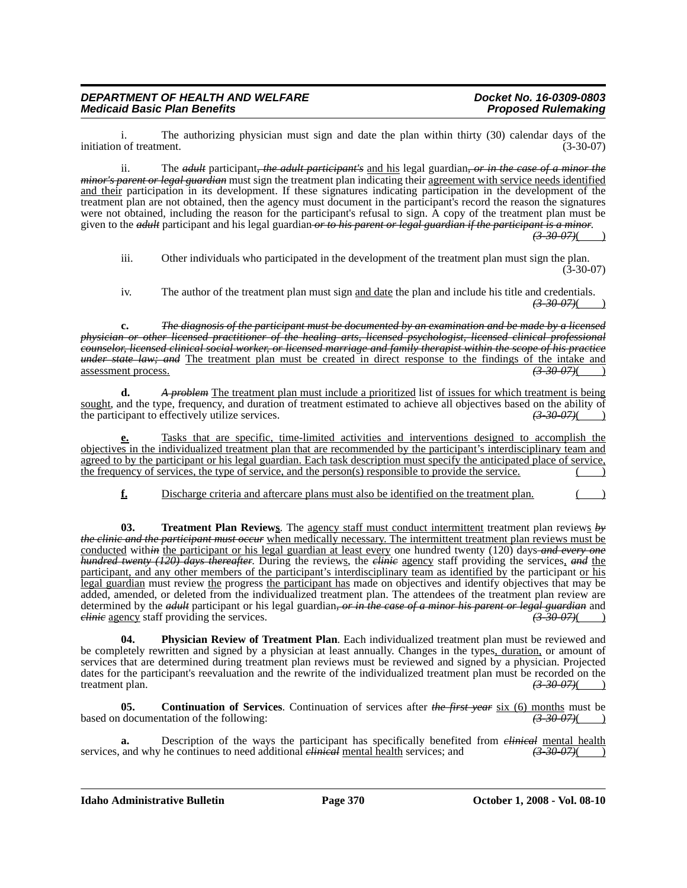i. The authorizing physician must sign and date the plan within thirty (30) calendar days of the initiation of treatment.

ii. The *adult* participant*, the adult participant's* and his legal guardian*, or in the case of a minor the minor's parent or legal guardian* must sign the treatment plan indicating their agreement with service needs identified and their participation in its development. If these signatures indicating participation in the development of the treatment plan are not obtained, then the agency must document in the participant's record the reason the signatures were not obtained, including the reason for the participant's refusal to sign. A copy of the treatment plan must be given to the *adult* participant and his legal guardian *or to his parent or legal guardian if the participant is a minor*. *(3-30-07)*( )

iii. Other individuals who participated in the development of the treatment plan must sign the plan.  $(3-30-07)$ 

iv. The author of the treatment plan must sign and date the plan and include his title and credentials. *(3-30-07)*( )

**c.** *The diagnosis of the participant must be documented by an examination and be made by a licensed physician or other licensed practitioner of the healing arts, licensed psychologist, licensed clinical professional counselor, licensed clinical social worker, or licensed marriage and family therapist within the scope of his practice under state law; and* The treatment plan must be created in direct response to the findings of the intake and assessment process.  $\left(3-30-07\right)$ assessment process. *(3-30-07)*( )

**d.** *A problem* The treatment plan must include a prioritized list of issues for which treatment is being sought, and the type, frequency, and duration of treatment estimated to achieve all objectives based on the ability of the participant to effectively utilize services. the participant to effectively utilize services. *(3-30-07)*( )

**e.** Tasks that are specific, time-limited activities and interventions designed to accomplish the objectives in the individualized treatment plan that are recommended by the participant's interdisciplinary team and agreed to by the participant or his legal guardian. Each task description must specify the anticipated place of service, the frequency of services, the type of service, and the person(s) responsible to provide the service.

**f.** Discharge criteria and aftercare plans must also be identified on the treatment plan.

**03. Treatment Plan Reviews**. The agency staff must conduct intermittent treatment plan reviews *by the clinic and the participant must occur* when medically necessary. The intermittent treatment plan reviews must be conducted with*in* the participant or his legal guardian at least every one hundred twenty (120) days *and every one hundred twenty (120) days thereafter*. During the reviews, the *clinic* agency staff providing the services, *and* the participant, and any other members of the participant's interdisciplinary team as identified by the participant or his legal guardian must review the progress the participant has made on objectives and identify objectives that may be added, amended, or deleted from the individualized treatment plan. The attendees of the treatment plan review are determined by the *adult* participant or his legal guardian, or in the case of a minor his parent or legal guardian and *elinie* agency staff providing the services. *clinic* agency staff providing the services.

**04. Physician Review of Treatment Plan**. Each individualized treatment plan must be reviewed and be completely rewritten and signed by a physician at least annually. Changes in the types, duration, or amount of services that are determined during treatment plan reviews must be reviewed and signed by a physician. Projected dates for the participant's reevaluation and the rewrite of the individualized treatment plan must be recorded on the treatment plan.  $\left(3.3007\right)(1)$ treatment plan.

**05. Continuation of Services**. Continuation of services after *the first year* six (6) months must be based on documentation of the following: *(3-30-07)*(*3-30-07)*(

**a.** Description of the ways the participant has specifically benefited from *clinical* mental health and why he continues to need additional *clinical* mental health services; and  $\left(\frac{3.30-07}{2}\right)$ services, and why he continues to need additional *clinical* mental health services; and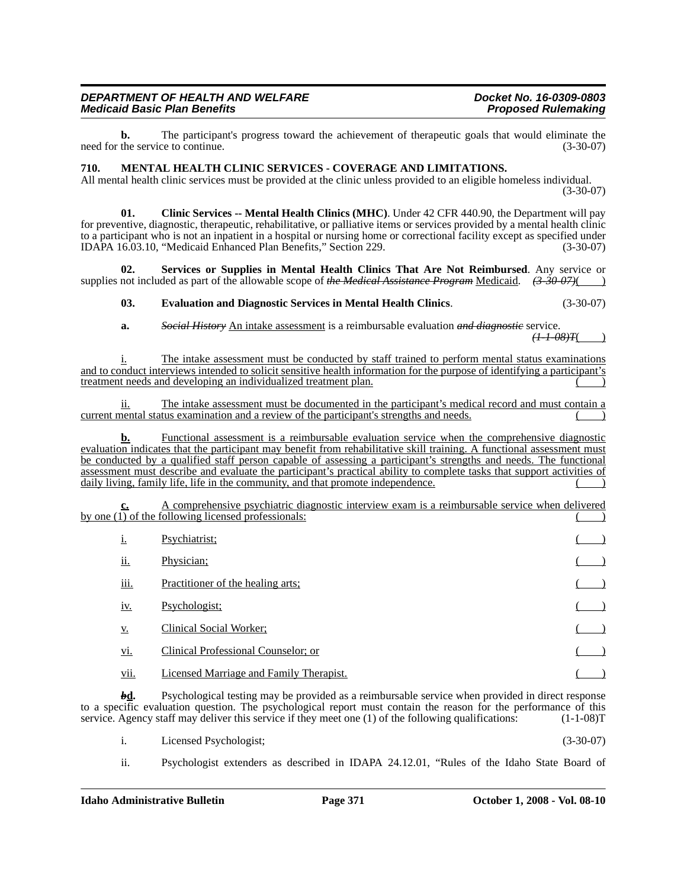**b.** The participant's progress toward the achievement of therapeutic goals that would eliminate the the service to continue. (3-30-07) need for the service to continue.

#### **710. MENTAL HEALTH CLINIC SERVICES - COVERAGE AND LIMITATIONS.**

All mental health clinic services must be provided at the clinic unless provided to an eligible homeless individual. (3-30-07)

**01. Clinic Services -- Mental Health Clinics (MHC)**. Under 42 CFR 440.90, the Department will pay for preventive, diagnostic, therapeutic, rehabilitative, or palliative items or services provided by a mental health clinic to a participant who is not an inpatient in a hospital or nursing home or correctional facility except as specified under IDAPA 16.03.10, "Medicaid Enhanced Plan Benefits," Section 229. (3-30-07)

**02. Services or Supplies in Mental Health Clinics That Are Not Reimbursed**. Any service or supplies not included as part of the allowable scope of *the Medical Assistance Program* Medicaid. *(3-30-07)*( )

#### **03. Evaluation and Diagnostic Services in Mental Health Clinics**. (3-30-07)

**a.** *Social History* An intake assessment is a reimbursable evaluation *and diagnostic* service. *(1-1-08)T*( )

i. The intake assessment must be conducted by staff trained to perform mental status examinations and to conduct interviews intended to solicit sensitive health information for the purpose of identifying a participant's treatment needs and developing an individualized treatment plan.

ii. The intake assessment must be documented in the participant's medical record and must contain a current mental status examination and a review of the participant's strengths and needs.

**b.** Functional assessment is a reimbursable evaluation service when the comprehensive diagnostic evaluation indicates that the participant may benefit from rehabilitative skill training. A functional assessment must be conducted by a qualified staff person capable of assessing a participant's strengths and needs. The functional assessment must describe and evaluate the participant's practical ability to complete tasks that support activities of daily living, family life, life in the community, and that promote independence.

**c.** A comprehensive psychiatric diagnostic interview exam is a reimbursable service when delivered by one  $(1)$  of the following licensed professionals:

| <b>1.</b>   | Psychiatrist;                                  |  |
|-------------|------------------------------------------------|--|
| <u>ii.</u>  | Physician;                                     |  |
| <u>iii.</u> | <b>Practitioner of the healing arts:</b>       |  |
| <u>iv.</u>  | Psychologist;                                  |  |
| <u>v.</u>   | Clinical Social Worker;                        |  |
| <u>vi.</u>  | Clinical Professional Counselor; or            |  |
| vii.        | <b>Licensed Marriage and Family Therapist.</b> |  |

**bd.** Psychological testing may be provided as a reimbursable service when provided in direct response to a specific evaluation question. The psychological report must contain the reason for the performance of this service. Agency staff may deliver this service if they meet one (1) of the following qualifications: (1-1-08)T

i. Licensed Psychologist; (3-30-07)

ii. Psychologist extenders as described in IDAPA 24.12.01, "Rules of the Idaho State Board of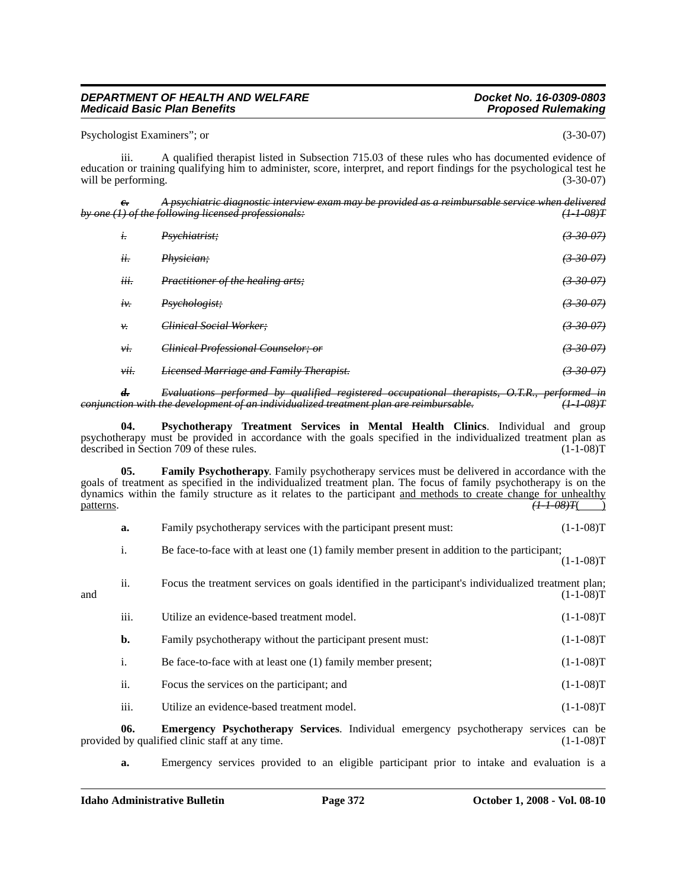#### Psychologist Examiners"; or (3-30-07)

iii. A qualified therapist listed in Subsection 715.03 of these rules who has documented evidence of education or training qualifying him to administer, score, interpret, and report findings for the psychological test he will be performing.  $(3-30-07)$ 

| $e_{\overline{\cdot}}$ | A psychiatric diagnostic interview exam may be provided as a reimbursable service when delivered<br>by one (1) of the following licensed professionals: | $(1 + 08)T$     |
|------------------------|---------------------------------------------------------------------------------------------------------------------------------------------------------|-----------------|
| $t$ .                  | Psychiatrist;                                                                                                                                           | $(3-30-07)$     |
| ii.                    | Physician;                                                                                                                                              | $(3-30-07)$     |
| iii.                   | Practitioner of the healing arts;                                                                                                                       | (3,30,07)       |
| $i\mathcal{V}$         | Psychologist;                                                                                                                                           | $(3 - 30 - 07)$ |
| ν.                     | Clinical Social Worker;                                                                                                                                 | $(3 - 30 - 07)$ |
| vi.                    | Clinical Professional Counselor; or                                                                                                                     | (3, 30, 07)     |
| vii.                   | <b>Licensed Marriage and Family Therapist.</b>                                                                                                          | $(3 - 30 - 07)$ |
|                        |                                                                                                                                                         |                 |

*d. Evaluations performed by qualified registered occupational therapists, O.T.R., performed in conjunction with the development of an individualized treatment plan are reimbursable. (1-1-08)T*

**04. Psychotherapy Treatment Services in Mental Health Clinics**. Individual and group psychotherapy must be provided in accordance with the goals specified in the individualized treatment plan as described in Section 709 of these rules. (1-1-08)T

**05. Family Psychotherapy**. Family psychotherapy services must be delivered in accordance with the goals of treatment as specified in the individualized treatment plan. The focus of family psychotherapy is on the dynamics within the family structure as it relates to the participant <u>and methods to create change for unhealthy</u><br>patterns.  $\overline{(1-1-0.8)T}$ patterns. *(1-1-08)T*( )

| а. | Family psychotherapy services with the participant present must: |  |  |  | $(1-1-08)T$ |  |
|----|------------------------------------------------------------------|--|--|--|-------------|--|
|----|------------------------------------------------------------------|--|--|--|-------------|--|

i. Be face-to-face with at least one (1) family member present in addition to the participant;

 $(1-1-08)T$ 

| and | ii.              | Focus the treatment services on goals identified in the participant's individualized treatment plan; | $(1-1-08)T$ |
|-----|------------------|------------------------------------------------------------------------------------------------------|-------------|
|     | iii.             | Utilize an evidence-based treatment model.                                                           | $(1-1-08)T$ |
|     | b.               | Family psychotherapy without the participant present must:                                           | $(1-1-08)T$ |
|     | $\mathbf{1}$ .   | Be face-to-face with at least one (1) family member present;                                         | $(1-1-08)T$ |
|     | ii.              | Focus the services on the participant; and                                                           | $(1-1-08)T$ |
|     | $\cdots$<br>111. | Utilize an evidence-based treatment model.                                                           | $(1-1-08)T$ |

**06. Emergency Psychotherapy Services**. Individual emergency psychotherapy services can be provided by qualified clinic staff at any time.

**a.** Emergency services provided to an eligible participant prior to intake and evaluation is a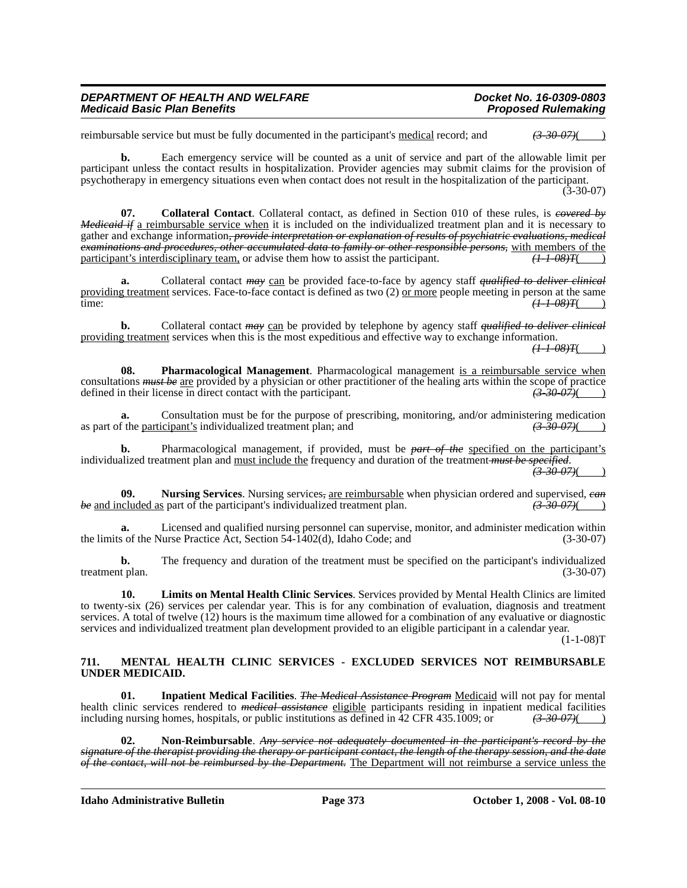| DEPARTMENT OF HEALTH AND WELFARE    | Docket No. 16-0309-0803    |
|-------------------------------------|----------------------------|
| <b>Medicaid Basic Plan Benefits</b> | <b>Proposed Rulemaking</b> |

reimbursable service but must be fully documented in the participant's medical record; and *(3-30-07)*( )

**b.** Each emergency service will be counted as a unit of service and part of the allowable limit per participant unless the contact results in hospitalization. Provider agencies may submit claims for the provision of psychotherapy in emergency situations even when contact does not result in the hospitalization of the participant.

(3-30-07)

**07. Collateral Contact**. Collateral contact, as defined in Section 010 of these rules, is *covered by Medicaid if* a reimbursable service when it is included on the individualized treatment plan and it is necessary to gather and exchange information*, provide interpretation or explanation of results of psychiatric evaluations, medical examinations and procedures, other accumulated data to family or other responsible persons,* with members of the participant's interdisciplinary team, or advise them how to assist the participant.  $(1-1-08)T($ 

**a.** Collateral contact *may* can be provided face-to-face by agency staff *qualified to deliver clinical* providing treatment services. Face-to-face contact is defined as two (2) <u>or more</u> people meeting in person at the same<br>time:  $\left(1-1-08\right)T($ time: *(1-1-08)T*( )

**b.** Collateral contact *may* can be provided by telephone by agency staff *qualified to deliver clinical* providing treatment services when this is the most expeditious and effective way to exchange information.

*(1-1-08)T*( )

**08. Pharmacological Management**. Pharmacological management is a reimbursable service when consultations *must be* <u>are</u> provided by a physician or other practitioner of the healing arts within the scope of practice defined in their license in direct contact with the participant. defined in their license in direct contact with the participant.

**a.** Consultation must be for the purpose of prescribing, monitoring, and/or administering medication as part of the participant's individualized treatment plan; and *(3-30-07)*( )

**b.** Pharmacological management, if provided, must be *part of the* specified on the participant's individualized treatment plan and must include the frequency and duration of the treatment *must be specified*. *(3-30-07)*( )

**09. Nursing Services**. Nursing services*,* are reimbursable when physician ordered and supervised, *can be* and included as part of the participant's individualized treatment plan. *(3-30-07)*( )

**a.** Licensed and qualified nursing personnel can supervise, monitor, and administer medication within the limits of the Nurse Practice Act, Section 54-1402(d), Idaho Code; and (3-30-07)

**b.** The frequency and duration of the treatment must be specified on the participant's individualized t plan. (3-30-07) treatment plan.

**10. Limits on Mental Health Clinic Services**. Services provided by Mental Health Clinics are limited to twenty-six (26) services per calendar year. This is for any combination of evaluation, diagnosis and treatment services. A total of twelve (12) hours is the maximum time allowed for a combination of any evaluative or diagnostic services and individualized treatment plan development provided to an eligible participant in a calendar year.

 $(1-1-08)T$ 

#### **711. MENTAL HEALTH CLINIC SERVICES - EXCLUDED SERVICES NOT REIMBURSABLE UNDER MEDICAID.**

**01. Inpatient Medical Facilities**. *The Medical Assistance Program* Medicaid will not pay for mental health clinic services rendered to *medical assistance* eligible participants residing in inpatient medical facilities including nursing homes, hospitals, or public institutions as defined in 42 CFR 435.1009; or  $\left(3\right.30\right.07)(\left(1\right)$ 

**02. Non-Reimbursable**. *Any service not adequately documented in the participant's record by the signature of the therapist providing the therapy or participant contact, the length of the therapy session, and the date of the contact, will not be reimbursed by the Department.* The Department will not reimburse a service unless the

**Idaho Administrative Bulletin Page 373 October 1, 2008 - Vol. 08-10**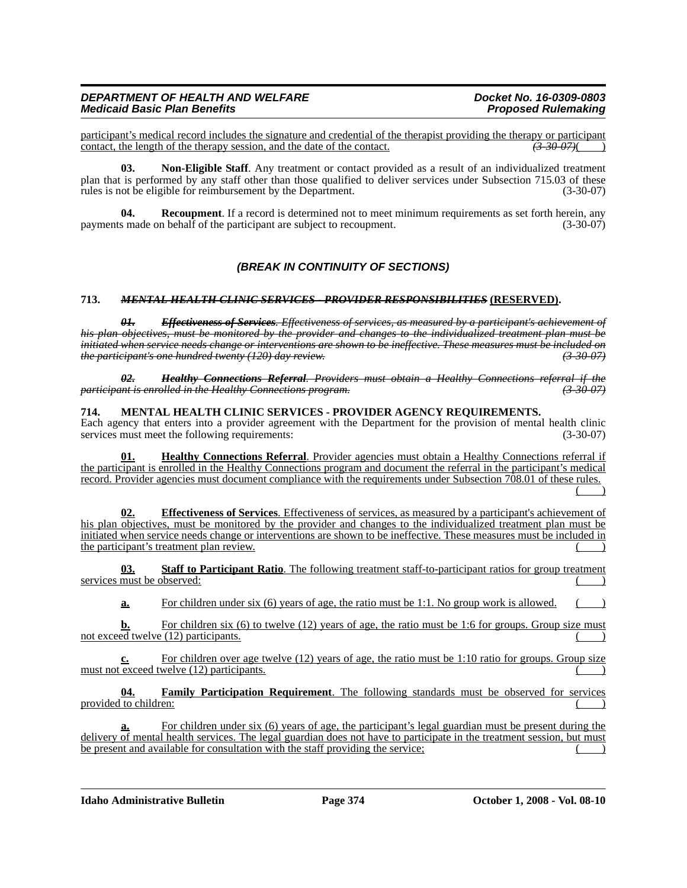participant's medical record includes the signature and credential of the therapist providing the therapy or participant<br>contact, the length of the therapy session, and the date of the contact. contact, the length of the therapy session, and the date of the contact.

**03. Non-Eligible Staff**. Any treatment or contact provided as a result of an individualized treatment plan that is performed by any staff other than those qualified to deliver services under Subsection 715.03 of these rules is not be eligible for reimbursement by the Department. (3-30-07)

**04.** Recoupment. If a record is determined not to meet minimum requirements as set forth herein, any payments made on behalf of the participant are subject to recoupment. (3-30-07)

# *(BREAK IN CONTINUITY OF SECTIONS)*

### **713.** *MENTAL HEALTH CLINIC SERVICES - PROVIDER RESPONSIBILITIES* **(RESERVED).**

*01. Effectiveness of Services. Effectiveness of services, as measured by a participant's achievement of his plan objectives, must be monitored by the provider and changes to the individualized treatment plan must be initiated when service needs change or interventions are shown to be ineffective. These measures must be included on the participant's one hundred twenty (120) day review. (3-30-07)*

*02. Healthy Connections Referral. Providers must obtain a Healthy Connections referral if the participant is enrolled in the Healthy Connections program. (3-30-07)*

### **714. MENTAL HEALTH CLINIC SERVICES - PROVIDER AGENCY REQUIREMENTS.**

Each agency that enters into a provider agreement with the Department for the provision of mental health clinic services must meet the following requirements: (3-30-07)

**01. Healthy Connections Referral**. Provider agencies must obtain a Healthy Connections referral if the participant is enrolled in the Healthy Connections program and document the referral in the participant's medical record. Provider agencies must document compliance with the requirements under Subsection 708.01 of these rules.  $($  )

**02. Effectiveness of Services**. Effectiveness of services, as measured by a participant's achievement of his plan objectives, must be monitored by the provider and changes to the individualized treatment plan must be initiated when service needs change or interventions are shown to be ineffective. These measures must be included in the participant's treatment plan review.

**03. Staff to Participant Ratio**. The following treatment staff-to-participant ratios for group treatment services must be observed:

**a.** For children under six (6) years of age, the ratio must be 1:1. No group work is allowed.

**b.** For children six (6) to twelve (12) years of age, the ratio must be 1:6 for groups. Group size must not exceed twelve (12) participants.

**c.** For children over age twelve (12) years of age, the ratio must be 1:10 ratio for groups. Group size must not exceed twelve  $(12)$  participants.

**04. Family Participation Requirement**. The following standards must be observed for services provided to children:

For children under six (6) years of age, the participant's legal guardian must be present during the delivery of mental health services. The legal guardian does not have to participate in the treatment session, but must be present and available for consultation with the staff providing the service;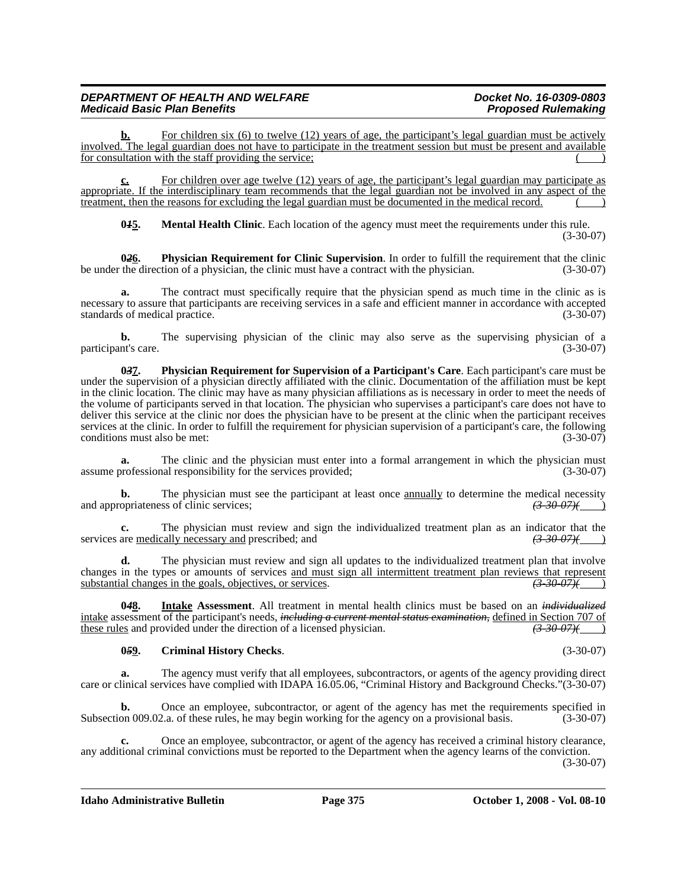For children six (6) to twelve (12) years of age, the participant's legal guardian must be actively involved. The legal guardian does not have to participate in the treatment session but must be present and available for consultation with the staff providing the service;

**c.** For children over age twelve (12) years of age, the participant's legal guardian may participate as appropriate. If the interdisciplinary team recommends that the legal guardian not be involved in any aspect of the treatment, then the reasons for excluding the legal guardian must be documented in the medical record.

**045.** Mental Health Clinic. Each location of the agency must meet the requirements under this rule. (3-30-07)

**026.** Physician Requirement for Clinic Supervision. In order to fulfill the requirement that the clinic the direction of a physician, the clinic must have a contract with the physician. (3-30-07) be under the direction of a physician, the clinic must have a contract with the physician.

**a.** The contract must specifically require that the physician spend as much time in the clinic as is necessary to assure that participants are receiving services in a safe and efficient manner in accordance with accepted standards of medical practice. (3-30-07) standards of medical practice.

**b.** The supervising physician of the clinic may also serve as the supervising physician of a nt's care. (3-30-07) participant's care.

**0***3***7. Physician Requirement for Supervision of a Participant's Care**. Each participant's care must be under the supervision of a physician directly affiliated with the clinic. Documentation of the affiliation must be kept in the clinic location. The clinic may have as many physician affiliations as is necessary in order to meet the needs of the volume of participants served in that location. The physician who supervises a participant's care does not have to deliver this service at the clinic nor does the physician have to be present at the clinic when the participant receives services at the clinic. In order to fulfill the requirement for physician supervision of a participant's care, the following conditions must also be met: (3-30-07) conditions must also be met:

**a.** The clinic and the physician must enter into a formal arrangement in which the physician must professional responsibility for the services provided:  $(3-30-07)$ assume professional responsibility for the services provided;

**b.** The physician must see the participant at least once **annually** to determine the medical necessity and appropriateness of clinic services;  $\left(3\text{-}30\text{-}07\right)\left(4\text{-}30\text{-}07\right)$ 

**c.** The physician must review and sign the individualized treatment plan as an indicator that the are medically necessary and prescribed: and  $\left(3-30-07\right)$ services are medically necessary and prescribed; and

The physician must review and sign all updates to the individualized treatment plan that involve changes in the types or amounts of services <u>and must sign all intermittent treatment plan reviews that represent</u><br>substantial changes in the goals, objectives, or services. substantial changes in the goals, objectives, or services.

**0***4***8. Intake Assessment**. All treatment in mental health clinics must be based on an *individualized*  intake assessment of the participant's needs, *including a current mental status examination*, <u>defined in Section 707 of these rules</u> and provided under the direction of a licensed physician. (3-30-07)(4) these rules and provided under the direction of a licensed physician.

# **0***5***9. Criminal History Checks**. (3-30-07)

**a.** The agency must verify that all employees, subcontractors, or agents of the agency providing direct care or clinical services have complied with IDAPA 16.05.06, "Criminal History and Background Checks."(3-30-07)

**b.** Once an employee, subcontractor, or agent of the agency has met the requirements specified in Subsection 009.02.a. of these rules, he may begin working for the agency on a provisional basis. (3-30-07)

**c.** Once an employee, subcontractor, or agent of the agency has received a criminal history clearance, any additional criminal convictions must be reported to the Department when the agency learns of the conviction.

(3-30-07)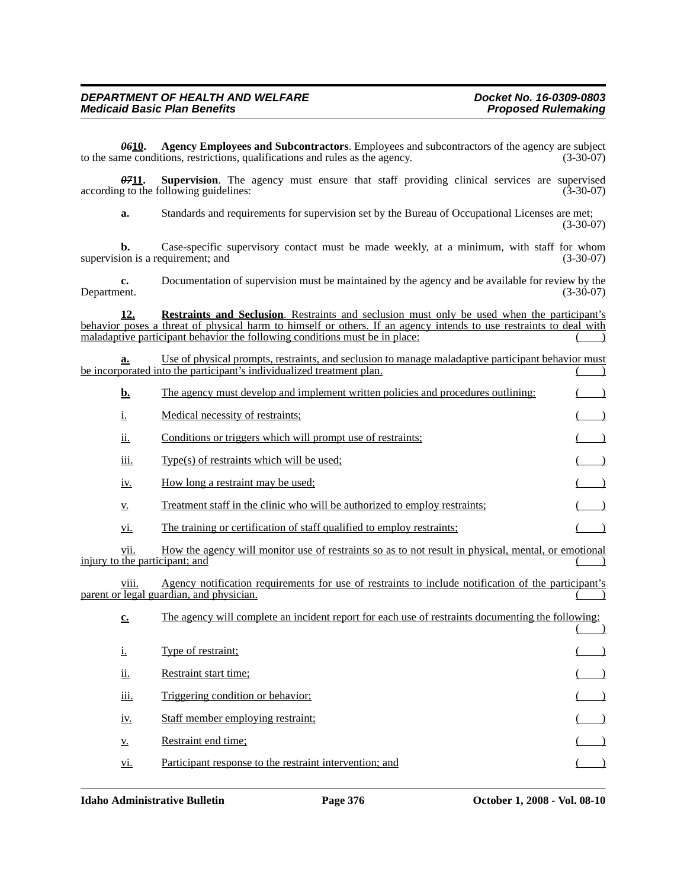*06***10. Agency Employees and Subcontractors**. Employees and subcontractors of the agency are subject to the same conditions, restrictions, qualifications and rules as the agency. (3-30-07)

**0711.** Supervision. The agency must ensure that staff providing clinical services are supervised according to the following guidelines: (3-30-07)

**a.** Standards and requirements for supervision set by the Bureau of Occupational Licenses are met;

(3-30-07)

**b.** Case-specific supervisory contact must be made weekly, at a minimum, with staff for whom supervision is a requirement; and (3-30-07)

**c.** Documentation of supervision must be maintained by the agency and be available for review by the Department. (3-30-07)

**12. Restraints and Seclusion**. Restraints and seclusion must only be used when the participant's behavior poses a threat of physical harm to himself or others. If an agency intends to use restraints to deal with maladaptive participant behavior the following conditions must be in place:  $($ 

**a.** Use of physical prompts, restraints, and seclusion to manage maladaptive participant behavior must be incorporated into the participant's individualized treatment plan.

| <u>b.</u>                  | The agency must develop and implement written policies and procedures outlining:                                                                       |  |
|----------------------------|--------------------------------------------------------------------------------------------------------------------------------------------------------|--|
| <u>i.</u>                  | Medical necessity of restraints;                                                                                                                       |  |
| <u>ii.</u>                 | Conditions or triggers which will prompt use of restraints;                                                                                            |  |
| iii.                       | Type(s) of restraints which will be used;                                                                                                              |  |
| <u>iv.</u>                 | How long a restraint may be used;                                                                                                                      |  |
| <u>V.</u>                  | Treatment staff in the clinic who will be authorized to employ restraints;                                                                             |  |
| <u>vi.</u>                 | The training or certification of staff qualified to employ restraints;                                                                                 |  |
| V11.                       | How the agency will monitor use of restraints so as to not result in physical, mental, or emotional<br>injury to the participant; and                  |  |
| viii.                      | <u>Agency notification requirements for use of restraints to include notification of the participant's</u><br>parent or legal guardian, and physician. |  |
| $\underline{\mathbf{c}}$ . | The agency will complete an incident report for each use of restraints documenting the following:                                                      |  |
| <u>i.</u>                  | Type of restraint;                                                                                                                                     |  |
| <u>ii.</u>                 | Restraint start time;                                                                                                                                  |  |
| iii.                       | Triggering condition or behavior;                                                                                                                      |  |
| <u>iv.</u>                 | Staff member employing restraint;                                                                                                                      |  |
| <u>V.</u>                  | Restraint end time;                                                                                                                                    |  |
| <u>V1.</u>                 | Participant response to the restraint intervention; and                                                                                                |  |
|                            |                                                                                                                                                        |  |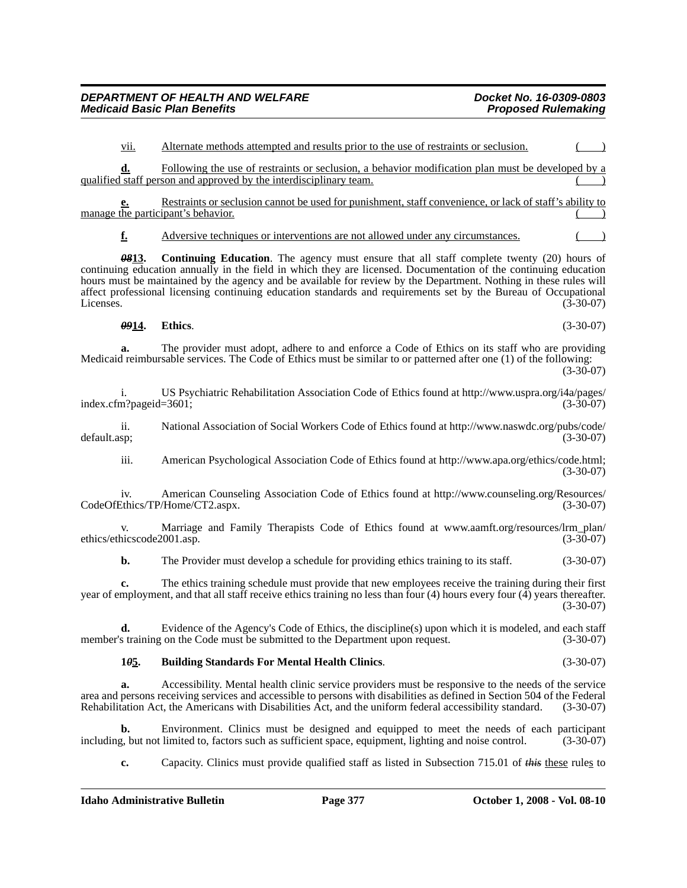vii. Alternate methods attempted and results prior to the use of restraints or seclusion. ( )

**d.** Following the use of restraints or seclusion, a behavior modification plan must be developed by a qualified staff person and approved by the interdisciplinary team.

**e.** Restraints or seclusion cannot be used for punishment, staff convenience, or lack of staff's ability to manage the participant's behavior.

**f.** Adversive techniques or interventions are not allowed under any circumstances.

**0813.** Continuing Education. The agency must ensure that all staff complete twenty (20) hours of continuing education annually in the field in which they are licensed. Documentation of the continuing education hours must be maintained by the agency and be available for review by the Department. Nothing in these rules will affect professional licensing continuing education standards and requirements set by the Bureau of Occupational<br>(3-30-07)  $\mu$  Licenses. (3-30-07)

*09***14. Ethics**. (3-30-07)

**a.** The provider must adopt, adhere to and enforce a Code of Ethics on its staff who are providing Medicaid reimbursable services. The Code of Ethics must be similar to or patterned after one (1) of the following:  $(3-30-07)$ 

[i. US Psychiatric Rehabilitation Association Code of Ethics found at http://www.uspra.org/i4a/pages/](http://www.uspra.org/i4a/pages/index.cfm?pageid=3601) index.cfm?pageid=3601;

[ii. National Association of Social Workers Code of Ethics found at http://www.naswdc.org/pubs/code/](http://www.naswdc.org/pubs/code/default.asp) default.asp; (3-30-07)

[iii. American Psychological Association Code of Ethics found at http://www.apa.org/ethics/code.html;](http://www.apa.org/ethics/code.html) (3-30-07)

iv. American Counseling Association Code of Ethics found at http://www.counseling.org/Resources/ [CodeOfEthics/TP/Home/CT2.aspx. \(3-30-07\)](http://www.counseling.org/Resources/CodeOfEthics/TP/Home/CT2.aspx)

[v. Marriage and Family Therapists Code of Ethics found at www.aamft.org/resources/lrm\\_plan/](www.aamft.org/resources/lrm_plan/ethics/ethicscode2001.asp)<br>hicscode2001.asp. (3-30-07) ethics/ethicscode2001.asp.

**b.** The Provider must develop a schedule for providing ethics training to its staff. (3-30-07)

**c.** The ethics training schedule must provide that new employees receive the training during their first year of employment, and that all staff receive ethics training no less than four (4) hours every four (4) years thereafter. (3-30-07)

**d.** Evidence of the Agency's Code of Ethics, the discipline(s) upon which it is modeled, and each staff s training on the Code must be submitted to the Department upon request. (3-30-07) member's training on the Code must be submitted to the Department upon request.

# **1***0***5. Building Standards For Mental Health Clinics**. (3-30-07)

**a.** Accessibility. Mental health clinic service providers must be responsive to the needs of the service area and persons receiving services and accessible to persons with disabilities as defined in Section 504 of the Federal Rehabilitation Act, the Americans with Disabilities Act, and the uniform federal accessibility standard. (3-30-07)

**b.** Environment. Clinics must be designed and equipped to meet the needs of each participant g, but not limited to, factors such as sufficient space, equipment, lighting and noise control. (3-30-07) including, but not limited to, factors such as sufficient space, equipment, lighting and noise control.

**c.** Capacity. Clinics must provide qualified staff as listed in Subsection 715.01 of *this* these rules to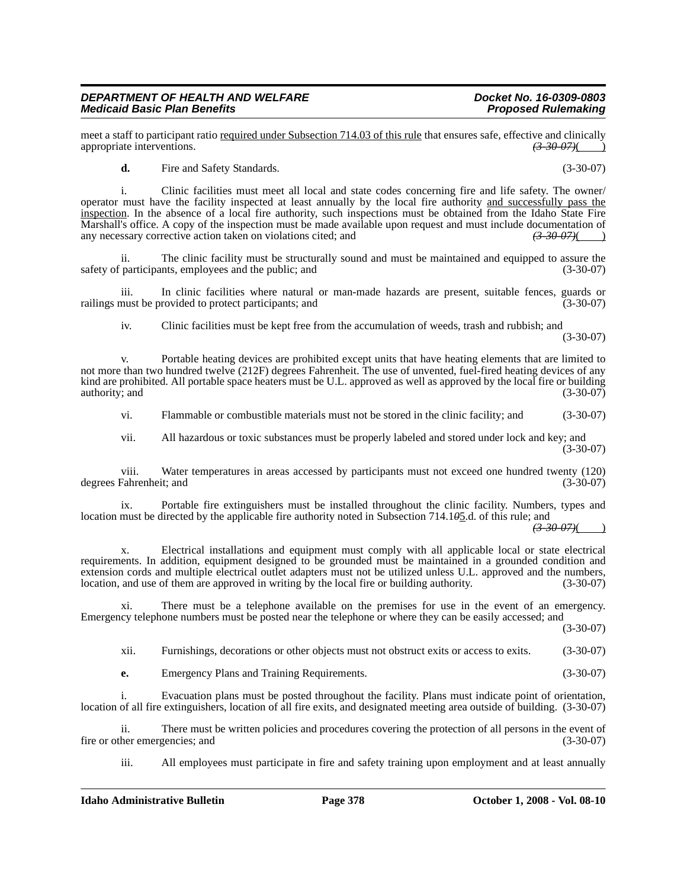meet a staff to participant ratio <u>required under Subsection 714.03 of this rule</u> that ensures safe, effective and clinically appropriate interventions.<br>(3.30.07) appropriate interventions.

**d.** Fire and Safety Standards. (3-30-07)

i. Clinic facilities must meet all local and state codes concerning fire and life safety. The owner/ operator must have the facility inspected at least annually by the local fire authority and successfully pass the inspection. In the absence of a local fire authority, such inspections must be obtained from the Idaho State Fire Marshall's office. A copy of the inspection must be made available upon request and must include documentation of any necessary corrective action taken on violations cited; and  $\left(3\text{-}30\text{-}07\right)\left(4\text{-}30\text{-}07\right)$ any necessary corrective action taken on violations cited; and

ii. The clinic facility must be structurally sound and must be maintained and equipped to assure the participants, employees and the public; and (3-30-07) safety of participants, employees and the public; and

iii. In clinic facilities where natural or man-made hazards are present, suitable fences, guards or must be provided to protect participants; and (3-30-07) railings must be provided to protect participants; and

iv. Clinic facilities must be kept free from the accumulation of weeds, trash and rubbish; and (3-30-07)

v. Portable heating devices are prohibited except units that have heating elements that are limited to not more than two hundred twelve (212F) degrees Fahrenheit. The use of unvented, fuel-fired heating devices of any kind are prohibited. All portable space heaters must be U.L. approved as well as approved by the local fire or building authority; and (3-30-07)

vi. Flammable or combustible materials must not be stored in the clinic facility; and (3-30-07)

vii. All hazardous or toxic substances must be properly labeled and stored under lock and key; and (3-30-07)

viii. Water temperatures in areas accessed by participants must not exceed one hundred twenty (120) degrees Fahrenheit; and

ix. Portable fire extinguishers must be installed throughout the clinic facility. Numbers, types and location must be directed by the applicable fire authority noted in Subsection 714.1*0*5.d. of this rule; and

*(3-30-07)*( )

x. Electrical installations and equipment must comply with all applicable local or state electrical requirements. In addition, equipment designed to be grounded must be maintained in a grounded condition and extension cords and multiple electrical outlet adapters must not be utilized unless U.L. approved and the numbers, location, and use of them are approved in writing by the local fire or building authority. (3-30-07)

xi. There must be a telephone available on the premises for use in the event of an emergency. Emergency telephone numbers must be posted near the telephone or where they can be easily accessed; and

(3-30-07)

xii. Furnishings, decorations or other objects must not obstruct exits or access to exits. (3-30-07)

**e.** Emergency Plans and Training Requirements. (3-30-07)

i. Evacuation plans must be posted throughout the facility. Plans must indicate point of orientation, location of all fire extinguishers, location of all fire exits, and designated meeting area outside of building. (3-30-07)

ii. There must be written policies and procedures covering the protection of all persons in the event of the event of the event of the event of (3-30-07) fire or other emergencies; and

iii. All employees must participate in fire and safety training upon employment and at least annually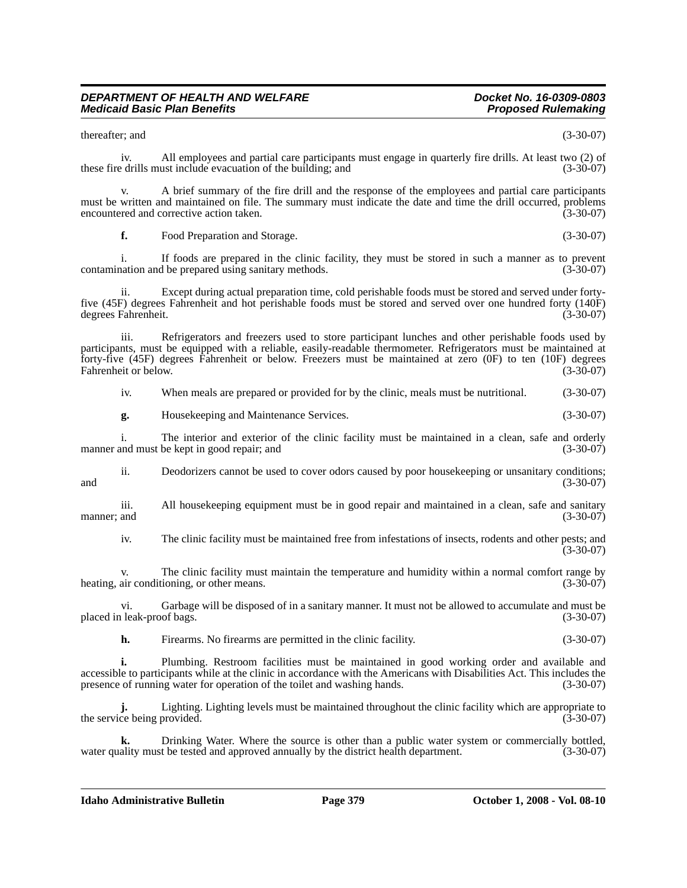thereafter; and (3-30-07)

iv. All employees and partial care participants must engage in quarterly fire drills. At least two (2) of these fire drills must include evacuation of the building; and (3-30-07)

v. A brief summary of the fire drill and the response of the employees and partial care participants must be written and maintained on file. The summary must indicate the date and time the drill occurred, problems encountered and corrective action taken. (3-30-07)

**f.** Food Preparation and Storage. (3-30-07)

i. If foods are prepared in the clinic facility, they must be stored in such a manner as to prevent nation and be prepared using sanitary methods. (3-30-07) contamination and be prepared using sanitary methods.

ii. Except during actual preparation time, cold perishable foods must be stored and served under fortyfive (45F) degrees Fahrenheit and hot perishable foods must be stored and served over one hundred forty (140F) degrees Fahrenheit. (3-30-07) degrees Fahrenheit.

iii. Refrigerators and freezers used to store participant lunches and other perishable foods used by participants, must be equipped with a reliable, easily-readable thermometer. Refrigerators must be maintained at forty-five (45F) degrees Fahrenheit or below. Freezers must be maintained at zero (0F) to ten (10F) degrees Fahrenheit or below.

iv. When meals are prepared or provided for by the clinic, meals must be nutritional. (3-30-07)

**g.** Housekeeping and Maintenance Services. (3-30-07)

i. The interior and exterior of the clinic facility must be maintained in a clean, safe and orderly and must be kept in good repair; and (3-30-07) manner and must be kept in good repair; and

ii. Deodorizers cannot be used to cover odors caused by poor housekeeping or unsanitary conditions; and (3-30-07) (3-30-07)

iii. All housekeeping equipment must be in good repair and maintained in a clean, safe and sanitary manner; and  $(3-30-07)$ 

iv. The clinic facility must be maintained free from infestations of insects, rodents and other pests; and (3-30-07)

v. The clinic facility must maintain the temperature and humidity within a normal comfort range by heating, air conditioning, or other means. (3-30-07)

vi. Garbage will be disposed of in a sanitary manner. It must not be allowed to accumulate and must be placed in leak-proof bags.

**h.** Firearms. No firearms are permitted in the clinic facility. (3-30-07)

**i.** Plumbing. Restroom facilities must be maintained in good working order and available and accessible to participants while at the clinic in accordance with the Americans with Disabilities Act. This includes the presence of running water for operation of the toilet and washing hands. (3-30-07) presence of running water for operation of the toilet and washing hands.

**j.** Lighting. Lighting levels must be maintained throughout the clinic facility which are appropriate to the service being provided. (3-30-07) the service being provided.

**k.** Drinking Water. Where the source is other than a public water system or commercially bottled, ality must be tested and approved annually by the district health department. (3-30-07) water quality must be tested and approved annually by the district health department.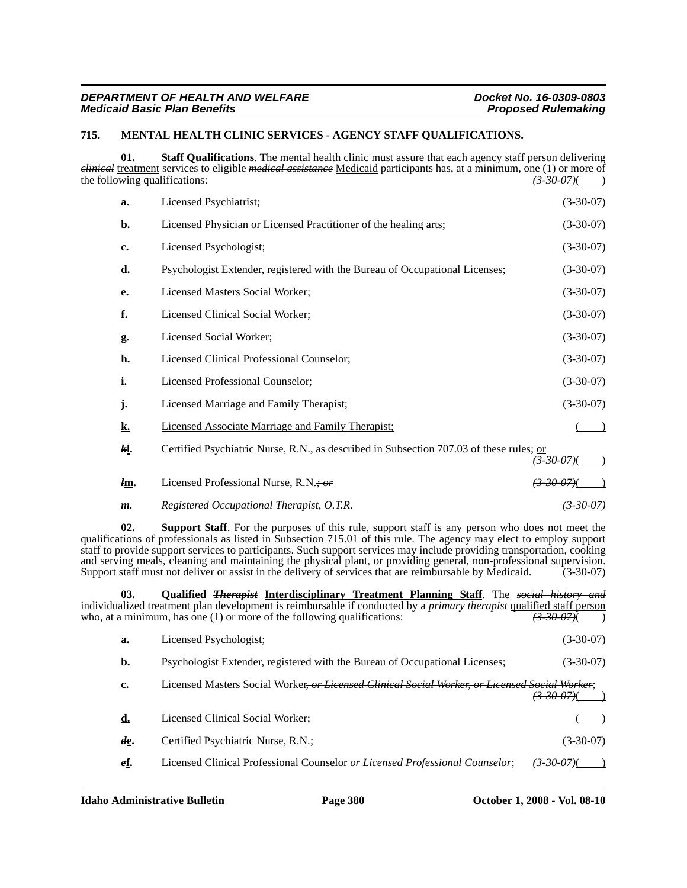# **715. MENTAL HEALTH CLINIC SERVICES - AGENCY STAFF QUALIFICATIONS.**

**01.** Staff Qualifications. The mental health clinic must assure that each agency staff person delivering *clinical* treatment services to eligible *medical assistance* Medicaid participants has, at a minimum, one (1) or more of the following qualifications: the following qualifications: *(3-30-07)*( )

| a.        | Licensed Psychiatrist;                                                                  | $(3-30-07)$ |
|-----------|-----------------------------------------------------------------------------------------|-------------|
| b.        | Licensed Physician or Licensed Practitioner of the healing arts;                        | $(3-30-07)$ |
| c.        | Licensed Psychologist;                                                                  | $(3-30-07)$ |
| d.        | Psychologist Extender, registered with the Bureau of Occupational Licenses;             | $(3-30-07)$ |
| e.        | Licensed Masters Social Worker;                                                         | $(3-30-07)$ |
| f.        | Licensed Clinical Social Worker;                                                        | $(3-30-07)$ |
| g.        | Licensed Social Worker;                                                                 | $(3-30-07)$ |
| h.        | Licensed Clinical Professional Counselor;                                               | $(3-30-07)$ |
| i.        | Licensed Professional Counselor;                                                        | $(3-30-07)$ |
| j.        | Licensed Marriage and Family Therapist;                                                 | $(3-30-07)$ |
| <u>k.</u> | <b>Licensed Associate Marriage and Family Therapist:</b>                                |             |
| kļ.       | Certified Psychiatric Nurse, R.N., as described in Subsection 707.03 of these rules; or |             |
| lm.       | Licensed Professional Nurse, $R.N. \div \overline{or}$                                  |             |

# *m. Registered Occupational Therapist, O.T.R. (3-30-07)*

**02. Support Staff**. For the purposes of this rule, support staff is any person who does not meet the qualifications of professionals as listed in Subsection 715.01 of this rule. The agency may elect to employ support staff to provide support services to participants. Such support services may include providing transportation, cooking and serving meals, cleaning and maintaining the physical plant, or providing general, non-professional supervision.<br>Support staff must not deliver or assist in the delivery of services that are reimbursable by Medicaid. (3 Support staff must not deliver or assist in the delivery of services that are reimbursable by Medicaid.

**03. Qualified** *Therapist* **Interdisciplinary Treatment Planning Staff**. The *social history and* individualized treatment plan development is reimbursable if conducted by a *primary therapist* qualified staff person who, at a minimum, has one (1) or more of the following qualifications:  $\overline{(3-30-07)}$ 

| а.  | Licensed Psychologist:                                                                                              | $(3-30-07)$ |  |
|-----|---------------------------------------------------------------------------------------------------------------------|-------------|--|
| b.  | Psychologist Extender, registered with the Bureau of Occupational Licenses;                                         | $(3-30-07)$ |  |
| c.  | Licensed Masters Social Worker or Licensed Clinical Social Worker, or Licensed Social Worker;<br><u>(3-30-07)</u> ( |             |  |
| d.  | Licensed Clinical Social Worker;                                                                                    |             |  |
| de. | Certified Psychiatric Nurse, R.N.;                                                                                  | $(3-30-07)$ |  |
| ef. | Licensed Clinical Professional Counselor or Licensed Professional Counselor;                                        |             |  |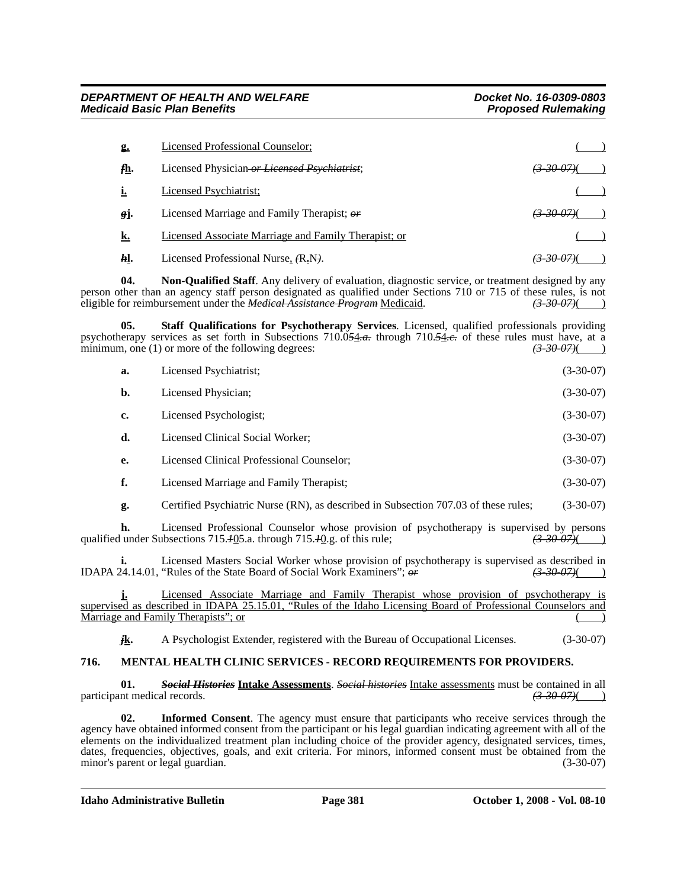| <b>g.</b>      | Licensed Professional Counselor;                     |                        |
|----------------|------------------------------------------------------|------------------------|
| $f$ <b>h</b> . | Licensed Physician or Licensed Psychiatrist.         | <del>(3-30-07)</del> ( |
|                | Licensed Psychiatrist:                               |                        |
| gj.            | Licensed Marriage and Family Therapist; or           | <del>(3 30 07)</del> ( |
| k.             | Licensed Associate Marriage and Family Therapist; or |                        |
| kl.            | Licensed Professional Nurse, (R.N).                  | <del>3-30-07)</del> (  |

**04. Non-Qualified Staff**. Any delivery of evaluation, diagnostic service, or treatment designed by any person other than an agency staff person designated as qualified under Sections 710 or 715 of these rules, is not eligible for reimbursement under the *Medical Assistance Program* Medicaid.  $\left(3-30-07\right)$  (3) eligible for reimbursement under the *Medical Assistance Program* Medicaid.

**05. Staff Qualifications for Psychotherapy Services**. Licensed, qualified professionals providing psychotherapy services as set forth in Subsections 710.0<del>54.a.</del> through 710.54.e. of these rules must have, at a minimum, one (1) or more of the following degrees: minimum, one (1) or more of the following degrees:  $\left(3,30,07\right)$  (3.30-07)

| a.             | Licensed Psychiatrist:                                                              | $(3-30-07)$ |
|----------------|-------------------------------------------------------------------------------------|-------------|
| $\mathbf{b}$ . | Licensed Physician;                                                                 | $(3-30-07)$ |
| c.             | Licensed Psychologist;                                                              | $(3-30-07)$ |
| d.             | Licensed Clinical Social Worker;                                                    | $(3-30-07)$ |
| e.             | Licensed Clinical Professional Counselor;                                           | $(3-30-07)$ |
| f.             | Licensed Marriage and Family Therapist;                                             | $(3-30-07)$ |
| g.             | Certified Psychiatric Nurse (RN), as described in Subsection 707.03 of these rules; | $(3-30-07)$ |

**h.** Licensed Professional Counselor whose provision of psychotherapy is supervised by persons  $\left( \frac{3-3\theta-97}{\theta} \right)$  (and the Subsections 715.405.a. through 715.40.g. of this rule: qualified under Subsections 715.*1*05.a. through 715.*1*0.g. of this rule; *(3-30-07)*( )

Licensed Masters Social Worker whose provision of psychotherapy is supervised as described in "Rules of the State Board of Social Work Examiners";  $\theta r$  (3-30-07)( IDAPA 24.14.01, "Rules of the State Board of Social Work Examiners";  $\sigma \vec{r}$ 

**j.** Licensed Associate Marriage and Family Therapist whose provision of psychotherapy is supervised as described in IDAPA 25.15.01, "Rules of the Idaho Licensing Board of Professional Counselors and Marriage and Family Therapists"; or ( )

*j***k.** A Psychologist Extender, registered with the Bureau of Occupational Licenses. (3-30-07)

# **716. MENTAL HEALTH CLINIC SERVICES - RECORD REQUIREMENTS FOR PROVIDERS.**

**01.** *Social Histories* **Intake Assessments**. *Social histories* Intake assessments must be contained in all participant medical records. *(3-30-07)*(*3-30-07)*(*3-30-07)*(*b*)

**02. Informed Consent**. The agency must ensure that participants who receive services through the agency have obtained informed consent from the participant or his legal guardian indicating agreement with all of the elements on the individualized treatment plan including choice of the provider agency, designated services, times, dates, frequencies, objectives, goals, and exit criteria. For minors, informed consent must be obtained from the minor's parent or legal guardian. (3-30-07)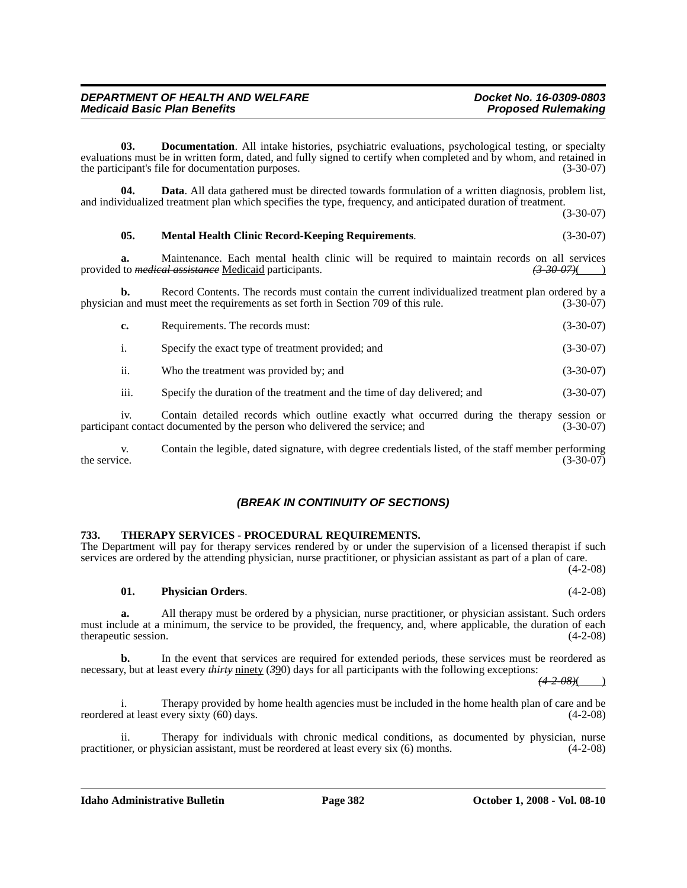**03. Documentation**. All intake histories, psychiatric evaluations, psychological testing, or specialty evaluations must be in written form, dated, and fully signed to certify when completed and by whom, and retained in the participant's file for documentation purposes. (3-30-07)

**04. Data**. All data gathered must be directed towards formulation of a written diagnosis, problem list, and individualized treatment plan which specifies the type, frequency, and anticipated duration of treatment.

(3-30-07)

#### **05. Mental Health Clinic Record-Keeping Requirements**. (3-30-07)

**a.** Maintenance. Each mental health clinic will be required to maintain records on all services to *medical assistance* Medicaid participants.  $\left(3-30-07\right)$  (3.430) provided to *medical assistance* Medicaid participants.

**b.** Record Contents. The records must contain the current individualized treatment plan ordered by a n and must meet the requirements as set forth in Section 709 of this rule. (3-30-07) physician and must meet the requirements as set forth in Section 709 of this rule.

| c.             | Requirements. The records must:                                          | $(3-30-07)$ |
|----------------|--------------------------------------------------------------------------|-------------|
| $\mathbf{1}$ . | Specify the exact type of treatment provided; and                        | $(3-30-07)$ |
| ii.            | Who the treatment was provided by; and                                   | $(3-30-07)$ |
| iii.           | Specify the duration of the treatment and the time of day delivered; and | $(3-30-07)$ |

iv. Contain detailed records which outline exactly what occurred during the therapy session or participant contact documented by the person who delivered the service; and (3-30-07)

v. Contain the legible, dated signature, with degree credentials listed, of the staff member performing the service.  $(3-30-07)$ 

#### *(BREAK IN CONTINUITY OF SECTIONS)*

#### **733. THERAPY SERVICES - PROCEDURAL REQUIREMENTS.**

The Department will pay for therapy services rendered by or under the supervision of a licensed therapist if such services are ordered by the attending physician, nurse practitioner, or physician assistant as part of a plan of care. (4-2-08)

**01. Physician Orders**. (4-2-08)

**a.** All therapy must be ordered by a physician, nurse practitioner, or physician assistant. Such orders must include at a minimum, the service to be provided, the frequency, and, where applicable, the duration of each therapeutic session. (4-2-08) therapeutic session.

**b.** In the event that services are required for extended periods, these services must be reordered as necessary, but at least every *thirty* ninety (390) days for all participants with the following exceptions:

*(4-2-08)*( )

i. Therapy provided by home health agencies must be included in the home health plan of care and be reordered at least every sixty  $(60)$  days.

ii. Therapy for individuals with chronic medical conditions, as documented by physician, nurse practitioner, or physician assistant, must be reordered at least every six (6) months. (4-2-08)